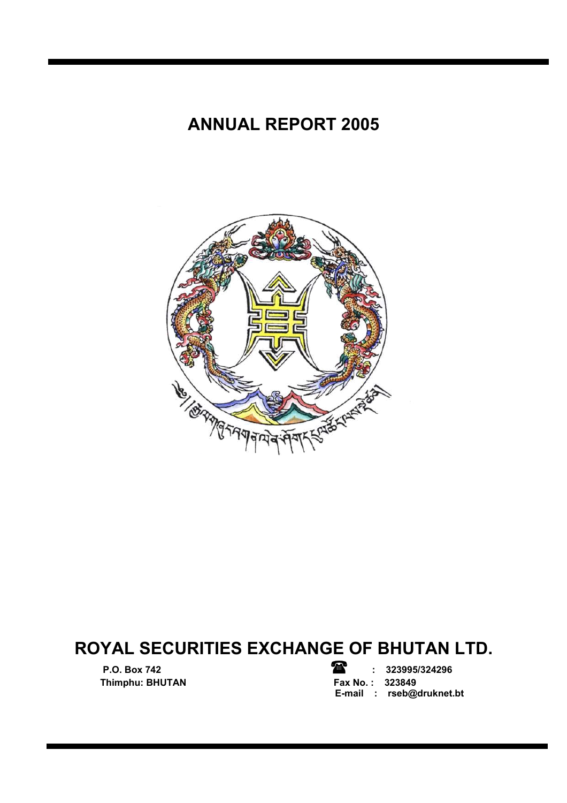# **ANNUAL REPORT 2005**



# **ROYAL SECURITIES EXCHANGE OF BHUTAN LTD.**

**Thimphu: BHUTAN** 

**P.O. Box 742 : 323995/324296 E-mail : rseb@druknet.bt**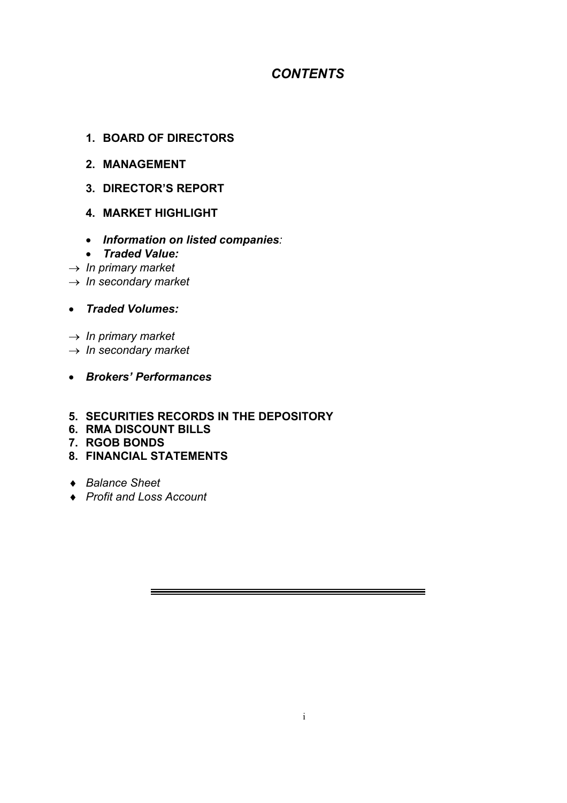# *CONTENTS*

### **1. BOARD OF DIRECTORS**

- **2. MANAGEMENT**
- **3. DIRECTOR'S REPORT**
- **4. MARKET HIGHLIGHT**
- *Information on listed companies:*
- *Traded Value:*
- → *In primary market*
- → *In secondary market*
- *Traded Volumes:*
- → *In primary market*
- → *In secondary market*
- *Brokers' Performances*
- **5. SECURITIES RECORDS IN THE DEPOSITORY**
- **6. RMA DISCOUNT BILLS**
- **7. RGOB BONDS**
- **8. FINANCIAL STATEMENTS**
- ♦ *Balance Sheet*
- ♦ *Profit and Loss Account*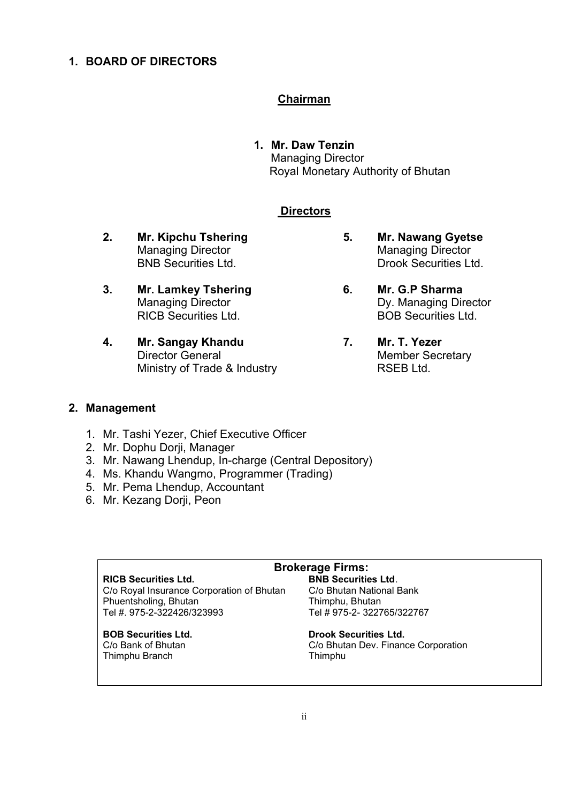### **1. BOARD OF DIRECTORS**

#### **Chairman**

**1. Mr. Daw Tenzin**  Managing Director Royal Monetary Authority of Bhutan

#### **Directors**

- **2. Mr. Kipchu Tshering 5. Mr. Nawang Gyetse**
- **3. Mr. Lamkey Tshering 6. Mr. G.P Sharma**
- **4. Mr. Sangay Khandu 7. Mr. T. Yezer**  Director General Member Secretary Ministry of Trade & Industry **RSEB Ltd.**
- Managing Director **Managing Director** Managing Director BNB Securities Ltd. **Drook Securities Ltd.**
- Managing Director **Dy. Managing Director** RICB Securities Ltd. BOB Securities Ltd.
	-

#### **2. Management**

- 1. Mr. Tashi Yezer, Chief Executive Officer
- 2. Mr. Dophu Dorji, Manager
- 3. Mr. Nawang Lhendup, In-charge (Central Depository)
- 4. Ms. Khandu Wangmo, Programmer (Trading)
- 5. Mr. Pema Lhendup, Accountant
- 6. Mr. Kezang Dorji, Peon

# **Brokerage Firms:**

C/o Royal Insurance Corporation of Bhutan Phuentsholing, Bhutan **Thimphu, Bhutan Tel # 975-2-3227**<br>Tel # 975-2-322426/323993 Tel # 975-2-3227

Thimphu Branch Thimphu

**RICB Securities Ltd. BNB Securities Ltd. C/o Roval Insurance Corporation of Bhutan C/o Bhutan National Bank** Tel #. 975-2-322426/323993 Tel # 975-2- 322765/322767

# **BOB Securities Ltd. Drook Securities Ltd.**

C/o Bank of Bhutan C/o Bhutan Dev. Finance Corporation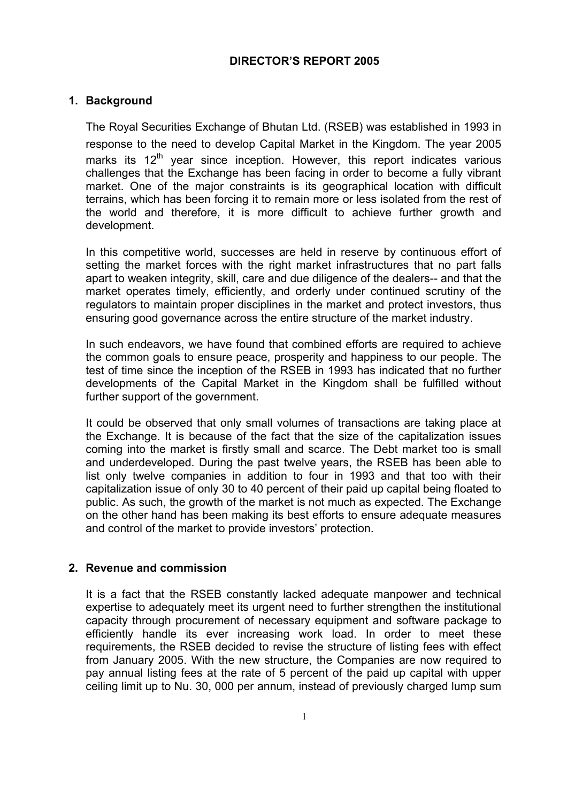### **DIRECTOR'S REPORT 2005**

### **1. Background**

The Royal Securities Exchange of Bhutan Ltd. (RSEB) was established in 1993 in response to the need to develop Capital Market in the Kingdom. The year 2005 marks its  $12<sup>th</sup>$  year since inception. However, this report indicates various challenges that the Exchange has been facing in order to become a fully vibrant market. One of the major constraints is its geographical location with difficult terrains, which has been forcing it to remain more or less isolated from the rest of the world and therefore, it is more difficult to achieve further growth and development.

In this competitive world, successes are held in reserve by continuous effort of setting the market forces with the right market infrastructures that no part falls apart to weaken integrity, skill, care and due diligence of the dealers-- and that the market operates timely, efficiently, and orderly under continued scrutiny of the regulators to maintain proper disciplines in the market and protect investors, thus ensuring good governance across the entire structure of the market industry.

In such endeavors, we have found that combined efforts are required to achieve the common goals to ensure peace, prosperity and happiness to our people. The test of time since the inception of the RSEB in 1993 has indicated that no further developments of the Capital Market in the Kingdom shall be fulfilled without further support of the government.

It could be observed that only small volumes of transactions are taking place at the Exchange. It is because of the fact that the size of the capitalization issues coming into the market is firstly small and scarce. The Debt market too is small and underdeveloped. During the past twelve years, the RSEB has been able to list only twelve companies in addition to four in 1993 and that too with their capitalization issue of only 30 to 40 percent of their paid up capital being floated to public. As such, the growth of the market is not much as expected. The Exchange on the other hand has been making its best efforts to ensure adequate measures and control of the market to provide investors' protection.

#### **2. Revenue and commission**

It is a fact that the RSEB constantly lacked adequate manpower and technical expertise to adequately meet its urgent need to further strengthen the institutional capacity through procurement of necessary equipment and software package to efficiently handle its ever increasing work load. In order to meet these requirements, the RSEB decided to revise the structure of listing fees with effect from January 2005. With the new structure, the Companies are now required to pay annual listing fees at the rate of 5 percent of the paid up capital with upper ceiling limit up to Nu. 30, 000 per annum, instead of previously charged lump sum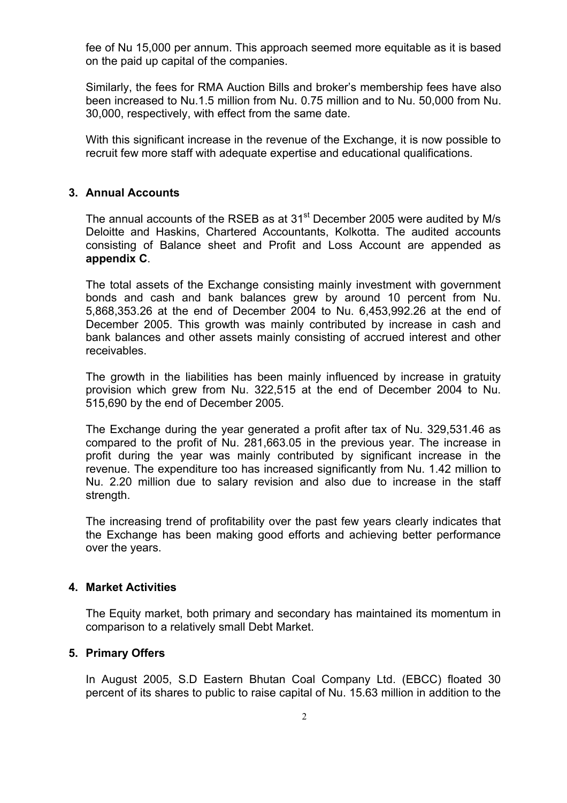fee of Nu 15,000 per annum. This approach seemed more equitable as it is based on the paid up capital of the companies.

Similarly, the fees for RMA Auction Bills and broker's membership fees have also been increased to Nu.1.5 million from Nu. 0.75 million and to Nu. 50,000 from Nu. 30,000, respectively, with effect from the same date.

With this significant increase in the revenue of the Exchange, it is now possible to recruit few more staff with adequate expertise and educational qualifications.

#### **3. Annual Accounts**

The annual accounts of the RSEB as at 31<sup>st</sup> December 2005 were audited by M/s Deloitte and Haskins, Chartered Accountants, Kolkotta. The audited accounts consisting of Balance sheet and Profit and Loss Account are appended as **appendix C**.

The total assets of the Exchange consisting mainly investment with government bonds and cash and bank balances grew by around 10 percent from Nu. 5,868,353.26 at the end of December 2004 to Nu. 6,453,992.26 at the end of December 2005. This growth was mainly contributed by increase in cash and bank balances and other assets mainly consisting of accrued interest and other receivables.

The growth in the liabilities has been mainly influenced by increase in gratuity provision which grew from Nu. 322,515 at the end of December 2004 to Nu. 515,690 by the end of December 2005.

The Exchange during the year generated a profit after tax of Nu. 329,531.46 as compared to the profit of Nu. 281,663.05 in the previous year. The increase in profit during the year was mainly contributed by significant increase in the revenue. The expenditure too has increased significantly from Nu. 1.42 million to Nu. 2.20 million due to salary revision and also due to increase in the staff strength.

The increasing trend of profitability over the past few years clearly indicates that the Exchange has been making good efforts and achieving better performance over the years.

#### **4. Market Activities**

The Equity market, both primary and secondary has maintained its momentum in comparison to a relatively small Debt Market.

#### **5. Primary Offers**

In August 2005, S.D Eastern Bhutan Coal Company Ltd. (EBCC) floated 30 percent of its shares to public to raise capital of Nu. 15.63 million in addition to the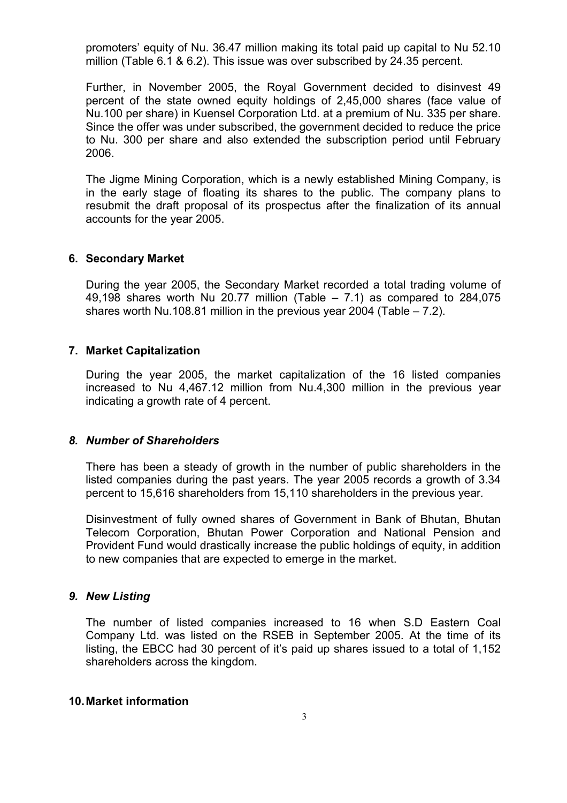promoters' equity of Nu. 36.47 million making its total paid up capital to Nu 52.10 million (Table 6.1 & 6.2). This issue was over subscribed by 24.35 percent.

Further, in November 2005, the Royal Government decided to disinvest 49 percent of the state owned equity holdings of 2,45,000 shares (face value of Nu.100 per share) in Kuensel Corporation Ltd. at a premium of Nu. 335 per share. Since the offer was under subscribed, the government decided to reduce the price to Nu. 300 per share and also extended the subscription period until February 2006.

The Jigme Mining Corporation, which is a newly established Mining Company, is in the early stage of floating its shares to the public. The company plans to resubmit the draft proposal of its prospectus after the finalization of its annual accounts for the year 2005.

#### **6. Secondary Market**

During the year 2005, the Secondary Market recorded a total trading volume of 49,198 shares worth Nu 20.77 million (Table  $-$  7.1) as compared to 284,075 shares worth Nu.108.81 million in the previous year 2004 (Table – 7.2).

#### **7. Market Capitalization**

During the year 2005, the market capitalization of the 16 listed companies increased to Nu 4,467.12 million from Nu.4,300 million in the previous year indicating a growth rate of 4 percent.

#### *8. Number of Shareholders*

There has been a steady of growth in the number of public shareholders in the listed companies during the past years. The year 2005 records a growth of 3.34 percent to 15,616 shareholders from 15,110 shareholders in the previous year*.* 

Disinvestment of fully owned shares of Government in Bank of Bhutan, Bhutan Telecom Corporation, Bhutan Power Corporation and National Pension and Provident Fund would drastically increase the public holdings of equity, in addition to new companies that are expected to emerge in the market.

#### *9. New Listing*

The number of listed companies increased to 16 when S.D Eastern Coal Company Ltd. was listed on the RSEB in September 2005. At the time of its listing, the EBCC had 30 percent of it's paid up shares issued to a total of 1,152 shareholders across the kingdom.

#### **10. Market information**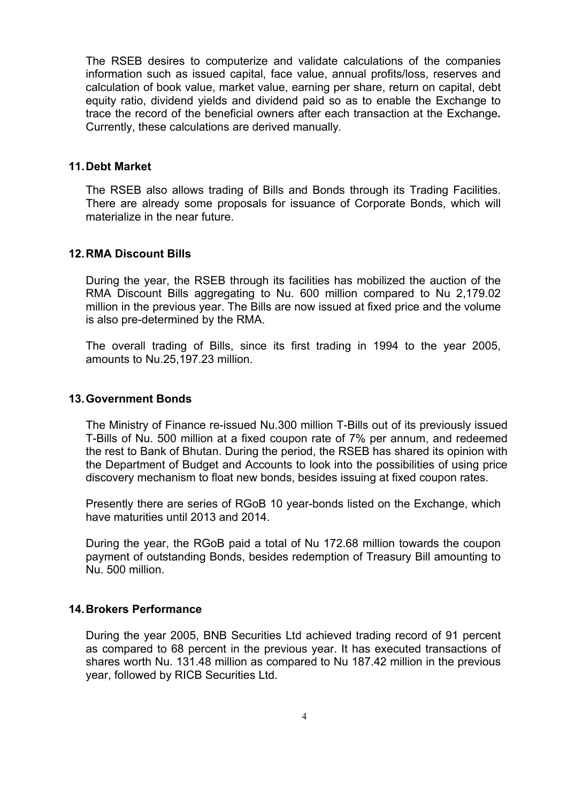The RSEB desires to computerize and validate calculations of the companies information such as issued capital, face value, annual profits/loss, reserves and calculation of book value, market value, earning per share, return on capital, debt equity ratio, dividend yields and dividend paid so as to enable the Exchange to trace the record of the beneficial owners after each transaction at the Exchange*.*  Currently, these calculations are derived manually*.* 

#### **11. Debt Market**

The RSEB also allows trading of Bills and Bonds through its Trading Facilities. There are already some proposals for issuance of Corporate Bonds, which will materialize in the near future.

#### **12. RMA Discount Bills**

During the year, the RSEB through its facilities has mobilized the auction of the RMA Discount Bills aggregating to Nu. 600 million compared to Nu 2,179.02 million in the previous year. The Bills are now issued at fixed price and the volume is also pre-determined by the RMA.

The overall trading of Bills, since its first trading in 1994 to the year 2005, amounts to Nu.25,197.23 million.

#### **13. Government Bonds**

The Ministry of Finance re-issued Nu.300 million T-Bills out of its previously issued T-Bills of Nu. 500 million at a fixed coupon rate of 7% per annum, and redeemed the rest to Bank of Bhutan. During the period, the RSEB has shared its opinion with the Department of Budget and Accounts to look into the possibilities of using price discovery mechanism to float new bonds, besides issuing at fixed coupon rates.

Presently there are series of RGoB 10 year-bonds listed on the Exchange, which have maturities until 2013 and 2014.

During the year, the RGoB paid a total of Nu 172.68 million towards the coupon payment of outstanding Bonds, besides redemption of Treasury Bill amounting to Nu. 500 million.

#### **14. Brokers Performance**

During the year 2005, BNB Securities Ltd achieved trading record of 91 percent as compared to 68 percent in the previous year. It has executed transactions of shares worth Nu. 131.48 million as compared to Nu 187.42 million in the previous year, followed by RICB Securities Ltd.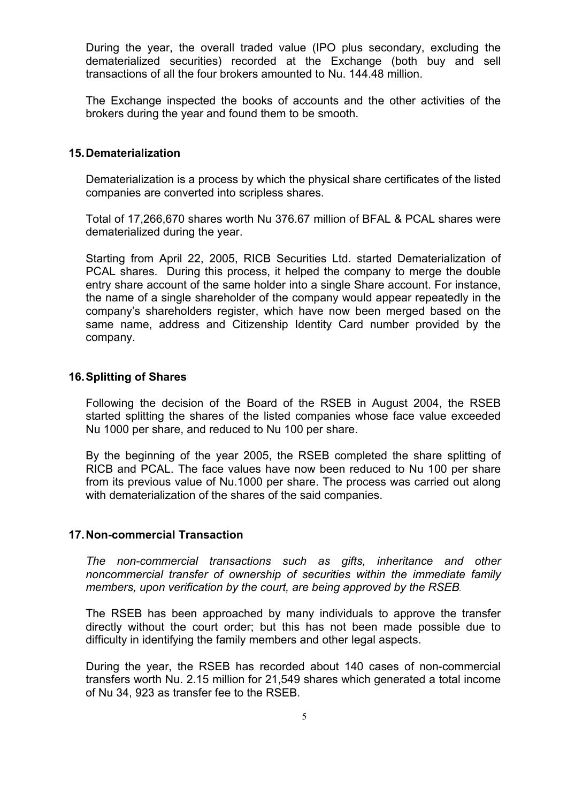During the year, the overall traded value (IPO plus secondary, excluding the dematerialized securities) recorded at the Exchange (both buy and sell transactions of all the four brokers amounted to Nu. 144.48 million.

The Exchange inspected the books of accounts and the other activities of the brokers during the year and found them to be smooth.

#### **15. Dematerialization**

Dematerialization is a process by which the physical share certificates of the listed companies are converted into scripless shares.

Total of 17,266,670 shares worth Nu 376.67 million of BFAL & PCAL shares were dematerialized during the year.

Starting from April 22, 2005, RICB Securities Ltd. started Dematerialization of PCAL shares. During this process, it helped the company to merge the double entry share account of the same holder into a single Share account. For instance, the name of a single shareholder of the company would appear repeatedly in the company's shareholders register, which have now been merged based on the same name, address and Citizenship Identity Card number provided by the company.

#### **16. Splitting of Shares**

Following the decision of the Board of the RSEB in August 2004, the RSEB started splitting the shares of the listed companies whose face value exceeded Nu 1000 per share, and reduced to Nu 100 per share.

By the beginning of the year 2005, the RSEB completed the share splitting of RICB and PCAL. The face values have now been reduced to Nu 100 per share from its previous value of Nu.1000 per share. The process was carried out along with dematerialization of the shares of the said companies.

#### **17. Non-commercial Transaction**

*The non-commercial transactions such as gifts, inheritance and other noncommercial transfer of ownership of securities within the immediate family members, upon verification by the court, are being approved by the RSEB.* 

The RSEB has been approached by many individuals to approve the transfer directly without the court order; but this has not been made possible due to difficulty in identifying the family members and other legal aspects.

During the year, the RSEB has recorded about 140 cases of non-commercial transfers worth Nu. 2.15 million for 21,549 shares which generated a total income of Nu 34, 923 as transfer fee to the RSEB.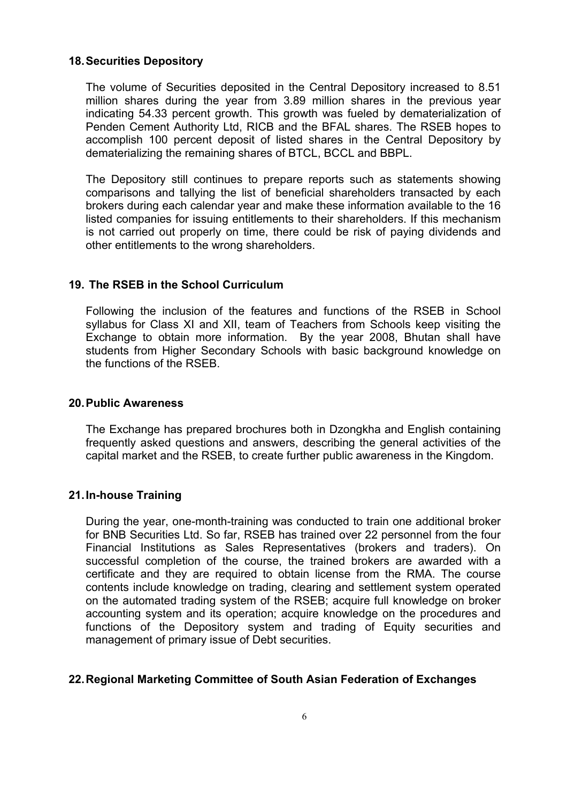#### **18. Securities Depository**

The volume of Securities deposited in the Central Depository increased to 8.51 million shares during the year from 3.89 million shares in the previous year indicating 54.33 percent growth. This growth was fueled by dematerialization of Penden Cement Authority Ltd, RICB and the BFAL shares. The RSEB hopes to accomplish 100 percent deposit of listed shares in the Central Depository by dematerializing the remaining shares of BTCL, BCCL and BBPL.

The Depository still continues to prepare reports such as statements showing comparisons and tallying the list of beneficial shareholders transacted by each brokers during each calendar year and make these information available to the 16 listed companies for issuing entitlements to their shareholders. If this mechanism is not carried out properly on time, there could be risk of paying dividends and other entitlements to the wrong shareholders.

#### **19. The RSEB in the School Curriculum**

Following the inclusion of the features and functions of the RSEB in School syllabus for Class XI and XII, team of Teachers from Schools keep visiting the Exchange to obtain more information. By the year 2008, Bhutan shall have students from Higher Secondary Schools with basic background knowledge on the functions of the RSEB.

#### **20. Public Awareness**

The Exchange has prepared brochures both in Dzongkha and English containing frequently asked questions and answers, describing the general activities of the capital market and the RSEB, to create further public awareness in the Kingdom.

#### **21. In-house Training**

During the year, one-month-training was conducted to train one additional broker for BNB Securities Ltd. So far, RSEB has trained over 22 personnel from the four Financial Institutions as Sales Representatives (brokers and traders). On successful completion of the course, the trained brokers are awarded with a certificate and they are required to obtain license from the RMA. The course contents include knowledge on trading, clearing and settlement system operated on the automated trading system of the RSEB; acquire full knowledge on broker accounting system and its operation; acquire knowledge on the procedures and functions of the Depository system and trading of Equity securities and management of primary issue of Debt securities.

#### **22. Regional Marketing Committee of South Asian Federation of Exchanges**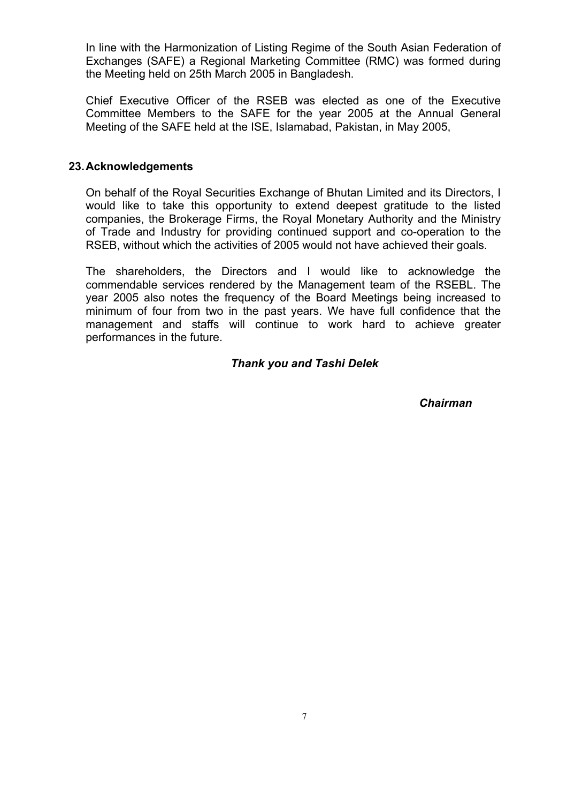In line with the Harmonization of Listing Regime of the South Asian Federation of Exchanges (SAFE) a Regional Marketing Committee (RMC) was formed during the Meeting held on 25th March 2005 in Bangladesh.

Chief Executive Officer of the RSEB was elected as one of the Executive Committee Members to the SAFE for the year 2005 at the Annual General Meeting of the SAFE held at the ISE, Islamabad, Pakistan, in May 2005,

#### **23. Acknowledgements**

On behalf of the Royal Securities Exchange of Bhutan Limited and its Directors, I would like to take this opportunity to extend deepest gratitude to the listed companies, the Brokerage Firms, the Royal Monetary Authority and the Ministry of Trade and Industry for providing continued support and co-operation to the RSEB, without which the activities of 2005 would not have achieved their goals.

The shareholders, the Directors and I would like to acknowledge the commendable services rendered by the Management team of the RSEBL. The year 2005 also notes the frequency of the Board Meetings being increased to minimum of four from two in the past years. We have full confidence that the management and staffs will continue to work hard to achieve greater performances in the future.

#### *Thank you and Tashi Delek*

 *Chairman*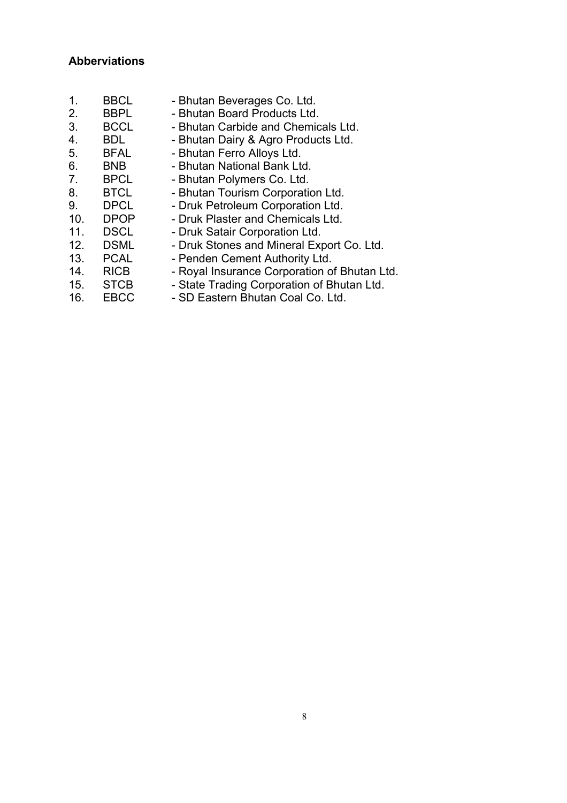## **Abberviations**

| $\mathbf 1$ .   | <b>BBCL</b> | - Bhutan Beverages Co. Ltd.                  |
|-----------------|-------------|----------------------------------------------|
| 2.              | <b>BBPL</b> | - Bhutan Board Products Ltd.                 |
| 3.              | <b>BCCL</b> | - Bhutan Carbide and Chemicals Ltd.          |
| 4.              | <b>BDL</b>  | - Bhutan Dairy & Agro Products Ltd.          |
| 5.              | <b>BFAL</b> | - Bhutan Ferro Alloys Ltd.                   |
| 6.              | <b>BNB</b>  | - Bhutan National Bank Ltd.                  |
| 7.              | <b>BPCL</b> | - Bhutan Polymers Co. Ltd.                   |
| 8.              | <b>BTCL</b> | - Bhutan Tourism Corporation Ltd.            |
| 9.              | <b>DPCL</b> | - Druk Petroleum Corporation Ltd.            |
| 10 <sub>1</sub> | <b>DPOP</b> | - Druk Plaster and Chemicals Ltd.            |
| 11.             | <b>DSCL</b> | - Druk Satair Corporation Ltd.               |
| 12.             | <b>DSML</b> | - Druk Stones and Mineral Export Co. Ltd.    |
| 13.             | <b>PCAL</b> | - Penden Cement Authority Ltd.               |
| 14.             | <b>RICB</b> | - Royal Insurance Corporation of Bhutan Ltd. |
| 15.             | <b>STCB</b> | - State Trading Corporation of Bhutan Ltd.   |
| 16.             | <b>EBCC</b> | - SD Eastern Bhutan Coal Co. Ltd.            |
|                 |             |                                              |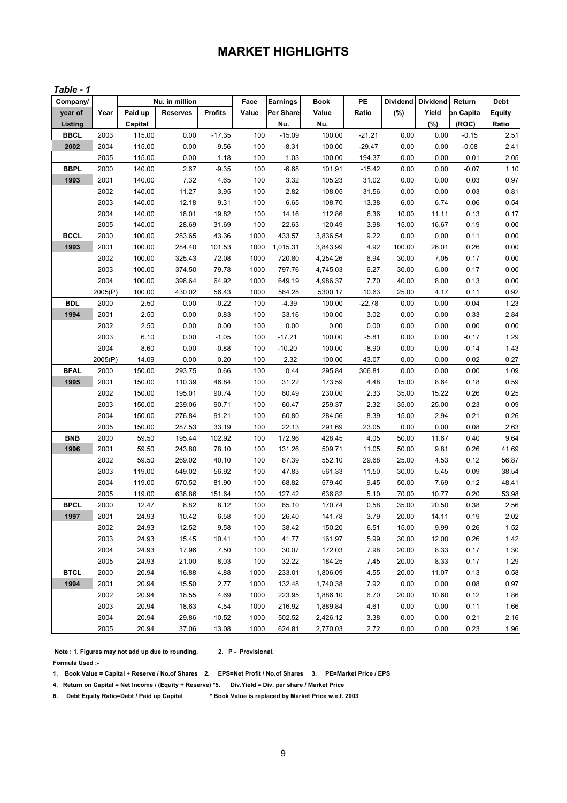# **MARKET HIGHLIGHTS**

#### *Table - 1*

| Company/    |         |         | Nu. in million  |                | Face  | <b>Earnings</b> | Book     | PE       | Dividend | <b>Dividend</b> | Return    | <b>Debt</b>   |
|-------------|---------|---------|-----------------|----------------|-------|-----------------|----------|----------|----------|-----------------|-----------|---------------|
| year of     | Year    | Paid up | <b>Reserves</b> | <b>Profits</b> | Value | Per Share       | Value    | Ratio    | (%)      | Yield           | on Capita | <b>Equity</b> |
| Listing     |         | Capital |                 |                |       | Nu.             | Nu.      |          |          | (%)             | (ROC)     | Ratio         |
| <b>BBCL</b> | 2003    | 115.00  | 0.00            | $-17.35$       | 100   | $-15.09$        | 100.00   | $-21.21$ | 0.00     | 0.00            | $-0.15$   | 2.51          |
| 2002        | 2004    | 115.00  | 0.00            | $-9.56$        | 100   | $-8.31$         | 100.00   | $-29.47$ | 0.00     | 0.00            | $-0.08$   | 2.41          |
|             | 2005    | 115.00  | 0.00            | 1.18           | 100   | 1.03            | 100.00   | 194.37   | 0.00     | 0.00            | 0.01      | 2.05          |
| <b>BBPL</b> | 2000    | 140.00  | 2.67            | $-9.35$        | 100   | $-6.68$         | 101.91   | $-15.42$ | 0.00     | 0.00            | $-0.07$   | 1.10          |
| 1993        | 2001    | 140.00  | 7.32            | 4.65           | 100   | 3.32            | 105.23   | 31.02    | 0.00     | 0.00            | 0.03      | 0.97          |
|             | 2002    | 140.00  | 11.27           | 3.95           | 100   | 2.82            | 108.05   | 31.56    | 0.00     | 0.00            | 0.03      | 0.81          |
|             | 2003    | 140.00  | 12.18           | 9.31           | 100   | 6.65            | 108.70   | 13.38    | 6.00     | 6.74            | 0.06      | 0.54          |
|             | 2004    | 140.00  | 18.01           | 19.82          | 100   | 14.16           | 112.86   | 6.36     | 10.00    | 11.11           | 0.13      | 0.17          |
|             | 2005    | 140.00  | 28.69           | 31.69          | 100   | 22.63           | 120.49   | 3.98     | 15.00    | 16.67           | 0.19      | 0.00          |
| <b>BCCL</b> | 2000    | 100.00  | 283.65          | 43.36          | 1000  | 433.57          | 3,836.54 | 9.22     | 0.00     | 0.00            | 0.11      | 0.00          |
| 1993        | 2001    | 100.00  | 284.40          | 101.53         | 1000  | 1,015.31        | 3,843.99 | 4.92     | 100.00   | 26.01           | 0.26      | 0.00          |
|             | 2002    | 100.00  | 325.43          | 72.08          | 1000  | 720.80          | 4,254.26 | 6.94     | 30.00    | 7.05            | 0.17      | 0.00          |
|             | 2003    | 100.00  | 374.50          | 79.78          | 1000  | 797.76          | 4,745.03 | 6.27     | 30.00    | 6.00            | 0.17      | 0.00          |
|             | 2004    | 100.00  | 398.64          | 64.92          | 1000  | 649.19          | 4,986.37 | 7.70     | 40.00    | 8.00            | 0.13      | 0.00          |
|             | 2005(P) | 100.00  | 430.02          | 56.43          | 1000  | 564.28          | 5300.17  | 10.63    | 25.00    | 4.17            | 0.11      | 0.92          |
| <b>BDL</b>  | 2000    | 2.50    | 0.00            | $-0.22$        | 100   | $-4.39$         | 100.00   | $-22.78$ | 0.00     | 0.00            | $-0.04$   | 1.23          |
| 1994        | 2001    | 2.50    | 0.00            | 0.83           | 100   | 33.16           | 100.00   | 3.02     | 0.00     | 0.00            | 0.33      | 2.84          |
|             | 2002    | 2.50    | 0.00            | 0.00           | 100   | 0.00            | 0.00     | 0.00     | 0.00     | 0.00            | 0.00      | 0.00          |
|             | 2003    | 6.10    | 0.00            | $-1.05$        | 100   | $-17.21$        | 100.00   | $-5.81$  | 0.00     | 0.00            | $-0.17$   | 1.29          |
|             | 2004    | 8.60    | 0.00            | $-0.88$        | 100   | $-10.20$        | 100.00   | $-8.90$  | 0.00     | 0.00            | $-0.14$   | 1.43          |
|             | 2005(P) | 14.09   | 0.00            | 0.20           | 100   | 2.32            | 100.00   | 43.07    | 0.00     | 0.00            | 0.02      | 0.27          |
| <b>BFAL</b> | 2000    | 150.00  | 293.75          | 0.66           | 100   | 0.44            | 295.84   | 306.81   | 0.00     | 0.00            | 0.00      | 1.09          |
| 1995        | 2001    | 150.00  | 110.39          | 46.84          | 100   | 31.22           | 173.59   | 4.48     | 15.00    | 8.64            | 0.18      | 0.59          |
|             | 2002    | 150.00  | 195.01          | 90.74          | 100   | 60.49           | 230.00   | 2.33     | 35.00    | 15.22           | 0.26      | 0.25          |
|             | 2003    | 150.00  | 239.06          | 90.71          | 100   | 60.47           | 259.37   | 2.32     | 35.00    | 25.00           | 0.23      | 0.09          |
|             | 2004    | 150.00  | 276.84          | 91.21          | 100   | 60.80           | 284.56   | 8.39     | 15.00    | 2.94            | 0.21      | 0.26          |
|             | 2005    | 150.00  | 287.53          | 33.19          | 100   | 22.13           | 291.69   | 23.05    | 0.00     | 0.00            | 0.08      | 2.63          |
| <b>BNB</b>  | 2000    | 59.50   | 195.44          | 102.92         | 100   | 172.96          | 428.45   | 4.05     | 50.00    | 11.67           | 0.40      | 9.64          |
| 1996        | 2001    | 59.50   | 243.80          | 78.10          | 100   | 131.26          | 509.71   | 11.05    | 50.00    | 9.81            | 0.26      | 41.69         |
|             | 2002    | 59.50   | 269.02          | 40.10          | 100   | 67.39           | 552.10   | 29.68    | 25.00    | 4.53            | 0.12      | 56.87         |
|             | 2003    | 119.00  | 549.02          | 56.92          | 100   | 47.83           | 561.33   | 11.50    | 30.00    | 5.45            | 0.09      | 38.54         |
|             | 2004    | 119.00  | 570.52          | 81.90          | 100   | 68.82           | 579.40   | 9.45     | 50.00    | 7.69            | 0.12      | 48.41         |
|             | 2005    | 119.00  | 638.86          | 151.64         | 100   | 127.42          | 636.82   | 5.10     | 70.00    | 10.77           | 0.20      | 53.98         |
| <b>BPCL</b> | 2000    | 12.47   | 8.82            | 8.12           | 100   | 65.10           | 170.74   | 0.58     | 35.00    | 20.50           | 0.38      | 2.56          |
| 1997        | 2001    | 24.93   | 10.42           | 6.58           | 100   | 26.40           | 141.78   | 3.79     | 20.00    | 14.11           | 0.19      | 2.02          |
|             | 2002    | 24.93   | 12.52           | 9.58           | 100   | 38.42           | 150.20   | 6.51     | 15.00    | 9.99            | 0.26      | 1.52          |
|             | 2003    | 24.93   | 15.45           | 10.41          | 100   | 41.77           | 161.97   | 5.99     | 30.00    | 12.00           | 0.26      | 1.42          |
|             | 2004    | 24.93   | 17.96           | 7.50           | 100   | 30.07           | 172.03   | 7.98     | 20.00    | 8.33            | 0.17      | $1.30$        |
|             | 2005    | 24.93   | 21.00           | 8.03           | 100   | 32.22           | 184.25   | 7.45     | 20.00    | 8.33            | 0.17      | 1.29          |
| <b>BTCL</b> | 2000    | 20.94   | 16.88           | 4.88           | 1000  | 233.01          | 1,806.09 | 4.55     | 20.00    | 11.07           | 0.13      | 0.58          |
| 1994        | 2001    | 20.94   | 15.50           | 2.77           | 1000  | 132.48          | 1,740.38 | 7.92     | 0.00     | 0.00            | 0.08      | 0.97          |
|             | 2002    | 20.94   | 18.55           | 4.69           | 1000  | 223.95          | 1,886.10 | 6.70     | 20.00    | 10.60           | 0.12      | 1.86          |
|             | 2003    | 20.94   | 18.63           | 4.54           | 1000  | 216.92          | 1,889.84 | 4.61     | 0.00     | 0.00            | 0.11      | 1.66          |
|             | 2004    | 20.94   | 29.86           | 10.52          | 1000  | 502.52          | 2,426.12 | 3.38     | 0.00     | 0.00            | 0.21      | 2.16          |
|             | 2005    | 20.94   | 37.06           | 13.08          | 1000  | 624.81          | 2,770.03 | 2.72     | 0.00     | 0.00            | 0.23      | 1.96          |

 **Note : 1. Figures may not add up due to rounding. 2. P - Provisional. Formula Used :-**

**1. Book Value = Capital + Reserve / No.of Shares 2. EPS=Net Profit / No.of Shares 3. PE=Market Price / EPS** 

**4. Return on Capital = Net Income / (Equity + Reserve) \*5. Div.Yield = Div. per share / Market Price**

**6. Debt Equity Ratio=Debt / Paid up Capital \* Book Value is replaced by Market Price w.e.f. 2003**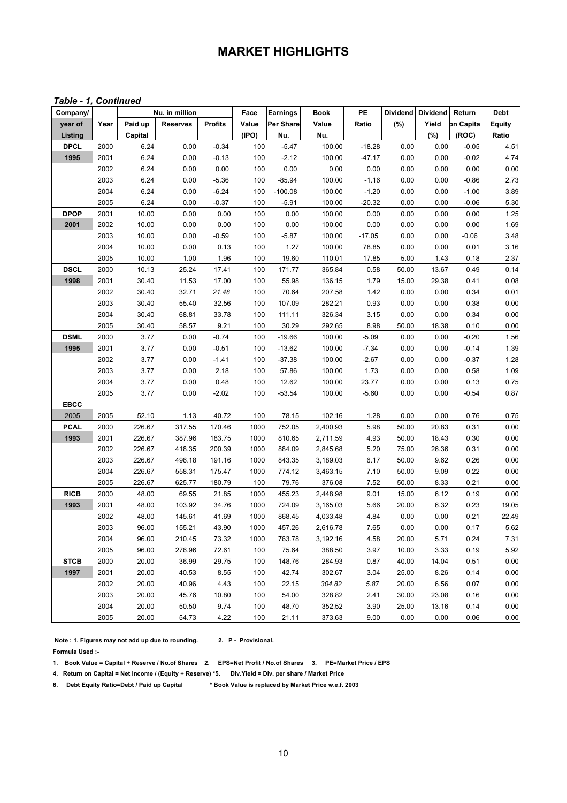# **MARKET HIGHLIGHTS**

#### *Table - 1, Continued*

| Company/    |      |         | Nu. in million  |                | Face  | <b>Earnings</b> | <b>Book</b> | PE       | <b>Dividend</b> | <b>Dividend</b> | Return    | <b>Debt</b>   |
|-------------|------|---------|-----------------|----------------|-------|-----------------|-------------|----------|-----------------|-----------------|-----------|---------------|
| year of     | Year | Paid up | <b>Reserves</b> | <b>Profits</b> | Value | Per Share       | Value       | Ratio    | (%)             | Yield           | on Capita | <b>Equity</b> |
| Listing     |      | Capital |                 |                | (IPO) | Nu.             | Nu.         |          |                 | (%)             | (ROC)     | Ratio         |
| <b>DPCL</b> | 2000 | 6.24    | 0.00            | $-0.34$        | 100   | $-5.47$         | 100.00      | $-18.28$ | 0.00            | 0.00            | $-0.05$   | 4.51          |
| 1995        | 2001 | 6.24    | 0.00            | $-0.13$        | 100   | $-2.12$         | 100.00      | $-47.17$ | 0.00            | 0.00            | $-0.02$   | 4.74          |
|             | 2002 | 6.24    | 0.00            | 0.00           | 100   | 0.00            | 0.00        | 0.00     | 0.00            | 0.00            | 0.00      | 0.00          |
|             | 2003 | 6.24    | 0.00            | $-5.36$        | 100   | $-85.94$        | 100.00      | $-1.16$  | 0.00            | 0.00            | $-0.86$   | 2.73          |
|             | 2004 | 6.24    | 0.00            | $-6.24$        | 100   | $-100.08$       | 100.00      | $-1.20$  | 0.00            | 0.00            | $-1.00$   | 3.89          |
|             | 2005 | 6.24    | 0.00            | $-0.37$        | 100   | $-5.91$         | 100.00      | $-20.32$ | 0.00            | 0.00            | $-0.06$   | 5.30          |
| <b>DPOP</b> | 2001 | 10.00   | 0.00            | 0.00           | 100   | 0.00            | 100.00      | 0.00     | 0.00            | 0.00            | 0.00      | 1.25          |
| 2001        | 2002 | 10.00   | 0.00            | 0.00           | 100   | 0.00            | 100.00      | 0.00     | 0.00            | 0.00            | 0.00      | 1.69          |
|             | 2003 | 10.00   | 0.00            | $-0.59$        | 100   | $-5.87$         | 100.00      | $-17.05$ | 0.00            | 0.00            | $-0.06$   | 3.48          |
|             | 2004 | 10.00   | 0.00            | 0.13           | 100   | 1.27            | 100.00      | 78.85    | 0.00            | 0.00            | 0.01      | 3.16          |
|             | 2005 | 10.00   | 1.00            | 1.96           | 100   | 19.60           | 110.01      | 17.85    | 5.00            | 1.43            | 0.18      | 2.37          |
| <b>DSCL</b> | 2000 | 10.13   | 25.24           | 17.41          | 100   | 171.77          | 365.84      | 0.58     | 50.00           | 13.67           | 0.49      | 0.14          |
| 1998        | 2001 | 30.40   | 11.53           | 17.00          | 100   | 55.98           | 136.15      | 1.79     | 15.00           | 29.38           | 0.41      | 0.08          |
|             | 2002 | 30.40   | 32.71           | 21.48          | 100   | 70.64           | 207.58      | 1.42     | 0.00            | 0.00            | 0.34      | 0.01          |
|             | 2003 | 30.40   | 55.40           | 32.56          | 100   | 107.09          | 282.21      | 0.93     | 0.00            | 0.00            | 0.38      | 0.00          |
|             | 2004 | 30.40   | 68.81           | 33.78          | 100   | 111.11          | 326.34      | 3.15     | 0.00            | 0.00            | 0.34      | 0.00          |
|             | 2005 | 30.40   | 58.57           | 9.21           | 100   | 30.29           | 292.65      | 8.98     | 50.00           | 18.38           | 0.10      | 0.00          |
| <b>DSML</b> | 2000 | 3.77    | 0.00            | $-0.74$        | 100   | $-19.66$        | 100.00      | $-5.09$  | 0.00            | 0.00            | $-0.20$   | 1.56          |
| 1995        | 2001 | 3.77    | 0.00            | $-0.51$        | 100   | $-13.62$        | 100.00      | $-7.34$  | 0.00            | 0.00            | $-0.14$   | 1.39          |
|             | 2002 | 3.77    | 0.00            | $-1.41$        | 100   | $-37.38$        | 100.00      | $-2.67$  | 0.00            | 0.00            | $-0.37$   | 1.28          |
|             | 2003 | 3.77    | 0.00            | 2.18           | 100   | 57.86           | 100.00      | 1.73     | 0.00            | 0.00            | 0.58      | 1.09          |
|             | 2004 | 3.77    | 0.00            | 0.48           | 100   | 12.62           | 100.00      | 23.77    | 0.00            | 0.00            | 0.13      | 0.75          |
|             | 2005 | 3.77    | 0.00            | $-2.02$        | 100   | $-53.54$        | 100.00      | $-5.60$  | 0.00            | 0.00            | $-0.54$   | 0.87          |
| <b>EBCC</b> |      |         |                 |                |       |                 |             |          |                 |                 |           |               |
| 2005        | 2005 | 52.10   | 1.13            | 40.72          | 100   | 78.15           | 102.16      | 1.28     | 0.00            | 0.00            | 0.76      | 0.75          |
| <b>PCAL</b> | 2000 | 226.67  | 317.55          | 170.46         | 1000  | 752.05          | 2,400.93    | 5.98     | 50.00           | 20.83           | 0.31      | 0.00          |
| 1993        | 2001 | 226.67  | 387.96          | 183.75         | 1000  | 810.65          | 2,711.59    | 4.93     | 50.00           | 18.43           | 0.30      | 0.00          |
|             | 2002 | 226.67  | 418.35          | 200.39         | 1000  | 884.09          | 2,845.68    | 5.20     | 75.00           | 26.36           | 0.31      | 0.00          |
|             | 2003 | 226.67  | 496.18          | 191.16         | 1000  | 843.35          | 3,189.03    | 6.17     | 50.00           | 9.62            | 0.26      | 0.00          |
|             | 2004 | 226.67  | 558.31          | 175.47         | 1000  | 774.12          | 3,463.15    | 7.10     | 50.00           | 9.09            | 0.22      | 0.00          |
|             | 2005 | 226.67  | 625.77          | 180.79         | 100   | 79.76           | 376.08      | 7.52     | 50.00           | 8.33            | 0.21      | 0.00          |
| <b>RICB</b> | 2000 | 48.00   | 69.55           | 21.85          | 1000  | 455.23          | 2,448.98    | 9.01     | 15.00           | 6.12            | 0.19      | 0.00          |
| 1993        | 2001 | 48.00   | 103.92          | 34.76          | 1000  | 724.09          | 3,165.03    | 5.66     | 20.00           | 6.32            | 0.23      | 19.05         |
|             | 2002 | 48.00   | 145.61          | 41.69          | 1000  | 868.45          | 4,033.48    | 4.84     | 0.00            | 0.00            | 0.21      | 22.49         |
|             | 2003 | 96.00   | 155.21          | 43.90          | 1000  | 457.26          | 2,616.78    | 7.65     | 0.00            | 0.00            | 0.17      | 5.62          |
|             | 2004 | 96.00   | 210.45          | 73.32          | 1000  | 763.78          | 3,192.16    | 4.58     | 20.00           | 5.71            | 0.24      | 7.31          |
|             | 2005 | 96.00   | 276.96          | 72.61          | 100   | 75.64           | 388.50      | 3.97     | 10.00           | 3.33            | 0.19      | 5.92          |
| <b>STCB</b> | 2000 | 20.00   | 36.99           | 29.75          | 100   | 148.76          | 284.93      | 0.87     | 40.00           | 14.04           | 0.51      | 0.00          |
| 1997        | 2001 | 20.00   | 40.53           | 8.55           | 100   | 42.74           | 302.67      | 3.04     | 25.00           | 8.26            | 0.14      | 0.00          |
|             | 2002 | 20.00   | 40.96           | 4.43           | 100   | 22.15           | 304.82      | 5.87     | 20.00           | 6.56            | 0.07      | 0.00          |
|             | 2003 | 20.00   | 45.76           | 10.80          | 100   | 54.00           | 328.82      | 2.41     | 30.00           | 23.08           | 0.16      | 0.00          |
|             | 2004 | 20.00   | 50.50           | 9.74           | 100   | 48.70           | 352.52      | 3.90     | 25.00           | 13.16           | 0.14      | 0.00          |
|             | 2005 | 20.00   | 54.73           | 4.22           | 100   | 21.11           | 373.63      | 9.00     | 0.00            | 0.00            | 0.06      | 0.00          |

 **Note : 1. Figures may not add up due to rounding. 2. P - Provisional. Formula Used :-**

**1. Book Value = Capital + Reserve / No.of Shares 2. EPS=Net Profit / No.of Shares 3. PE=Market Price / EPS** 

**4. Return on Capital = Net Income / (Equity + Reserve) \*5. Div.Yield = Div. per share / Market Price**

**6. Debt Equity Ratio=Debt / Paid up Capital \* Book Value is replaced by Market Price w.e.f. 2003**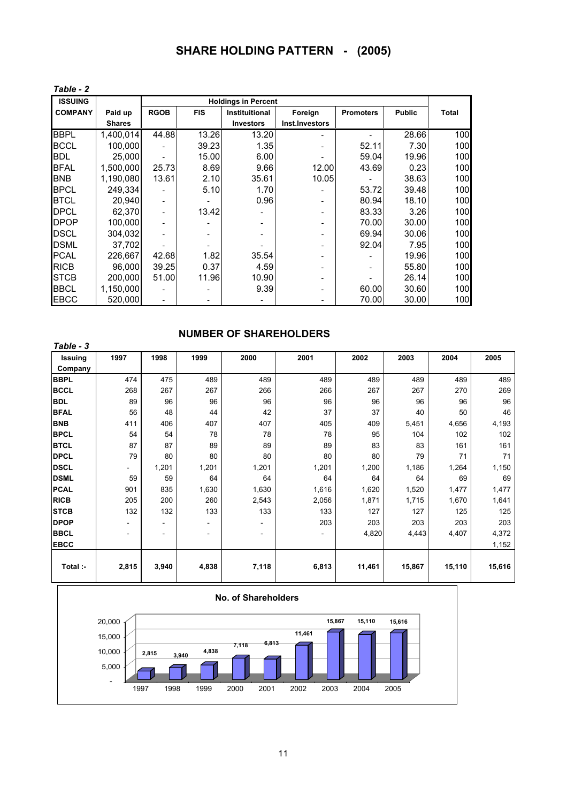| <b>SHARE HOLDING PATTERN</b> |  | - (2005) |
|------------------------------|--|----------|
|------------------------------|--|----------|

| Table - 2      |               |             |            |                            |                          |                  |               |              |
|----------------|---------------|-------------|------------|----------------------------|--------------------------|------------------|---------------|--------------|
| <b>ISSUING</b> |               |             |            | <b>Holdings in Percent</b> |                          |                  |               |              |
| <b>COMPANY</b> | Paid up       | <b>RGOB</b> | <b>FIS</b> | Instituitional             | Foreign                  | <b>Promoters</b> | <b>Public</b> | <b>Total</b> |
|                | <b>Shares</b> |             |            | <b>Investors</b>           | Inst.Investors           |                  |               |              |
| <b>BBPL</b>    | 1,400,014     | 44.88       | 13.26      | 13.20                      |                          |                  | 28.66         | 100          |
| <b>BCCL</b>    | 100.000       |             | 39.23      | 1.35                       |                          | 52.11            | 7.30          | 100          |
| <b>BDL</b>     | 25,000        |             | 15.00      | 6.00                       |                          | 59.04            | 19.96         | 100          |
| <b>BFAL</b>    | 1,500,000     | 25.73       | 8.69       | 9.66                       | 12.00                    | 43.69            | 0.23          | 100          |
| <b>BNB</b>     | 1,190,080     | 13.61       | 2.10       | 35.61                      | 10.05                    |                  | 38.63         | 100          |
| <b>BPCL</b>    | 249.334       |             | 5.10       | 1.70                       |                          | 53.72            | 39.48         | 100          |
| <b>BTCL</b>    | 20,940        |             |            | 0.96                       |                          | 80.94            | 18.10         | 100          |
| DPCL           | 62,370        |             | 13.42      |                            | $\overline{\phantom{0}}$ | 83.33            | 3.26          | 100          |
| <b>DPOP</b>    | 100,000       |             |            |                            | -                        | 70.00            | 30.00         | 100          |
| <b>DSCL</b>    | 304,032       |             |            |                            | -                        | 69.94            | 30.06         | 100          |
| <b>DSML</b>    | 37,702        |             |            |                            |                          | 92.04            | 7.95          | 100          |
| <b>PCAL</b>    | 226,667       | 42.68       | 1.82       | 35.54                      |                          |                  | 19.96         | 100          |
| <b>RICB</b>    | 96,000        | 39.25       | 0.37       | 4.59                       |                          |                  | 55.80         | 100          |
| <b>STCB</b>    | 200,000       | 51.00       | 11.96      | 10.90                      | -                        |                  | 26.14         | 100          |
| <b>BBCL</b>    | 1,150,000     |             |            | 9.39                       | ۰                        | 60.00            | 30.60         | 100          |
| EBCC           | 520,000       |             |            |                            |                          | 70.00            | 30.00         | 100          |

#### **NUMBER OF SHAREHOLDERS**

| Table - 3      |       |                          |                |       |       |        |        |        |        |
|----------------|-------|--------------------------|----------------|-------|-------|--------|--------|--------|--------|
| <b>Issuing</b> | 1997  | 1998                     | 1999           | 2000  | 2001  | 2002   | 2003   | 2004   | 2005   |
| Company        |       |                          |                |       |       |        |        |        |        |
| <b>BBPL</b>    | 474   | 475                      | 489            | 489   | 489   | 489    | 489    | 489    | 489    |
| <b>BCCL</b>    | 268   | 267                      | 267            | 266   | 266   | 267    | 267    | 270    | 269    |
| <b>BDL</b>     | 89    | 96                       | 96             | 96    | 96    | 96     | 96     | 96     | 96     |
| <b>BFAL</b>    | 56    | 48                       | 44             | 42    | 37    | 37     | 40     | 50     | 46     |
| <b>BNB</b>     | 411   | 406                      | 407            | 407   | 405   | 409    | 5,451  | 4,656  | 4,193  |
| <b>BPCL</b>    | 54    | 54                       | 78             | 78    | 78    | 95     | 104    | 102    | 102    |
| <b>BTCL</b>    | 87    | 87                       | 89             | 89    | 89    | 83     | 83     | 161    | 161    |
| <b>DPCL</b>    | 79    | 80                       | 80             | 80    | 80    | 80     | 79     | 71     | 71     |
| <b>DSCL</b>    | Ξ.    | 1,201                    | 1,201          | 1,201 | 1,201 | 1,200  | 1,186  | 1,264  | 1,150  |
| <b>DSML</b>    | 59    | 59                       | 64             | 64    | 64    | 64     | 64     | 69     | 69     |
| <b>PCAL</b>    | 901   | 835                      | 1,630          | 1,630 | 1,616 | 1,620  | 1,520  | 1,477  | 1,477  |
| <b>RICB</b>    | 205   | 200                      | 260            | 2,543 | 2,056 | 1,871  | 1,715  | 1,670  | 1,641  |
| <b>STCB</b>    | 132   | 132                      | 133            | 133   | 133   | 127    | 127    | 125    | 125    |
| <b>DPOP</b>    | -     | $\overline{\phantom{a}}$ | $\blacksquare$ | ۰.    | 203   | 203    | 203    | 203    | 203    |
| <b>BBCL</b>    | ٠     | -                        | ٠              | -     |       | 4,820  | 4,443  | 4,407  | 4,372  |
| <b>EBCC</b>    |       |                          |                |       |       |        |        |        | 1,152  |
|                |       |                          |                |       |       |        |        |        |        |
| Total :-       | 2,815 | 3,940                    | 4,838          | 7,118 | 6,813 | 11,461 | 15,867 | 15,110 | 15,616 |

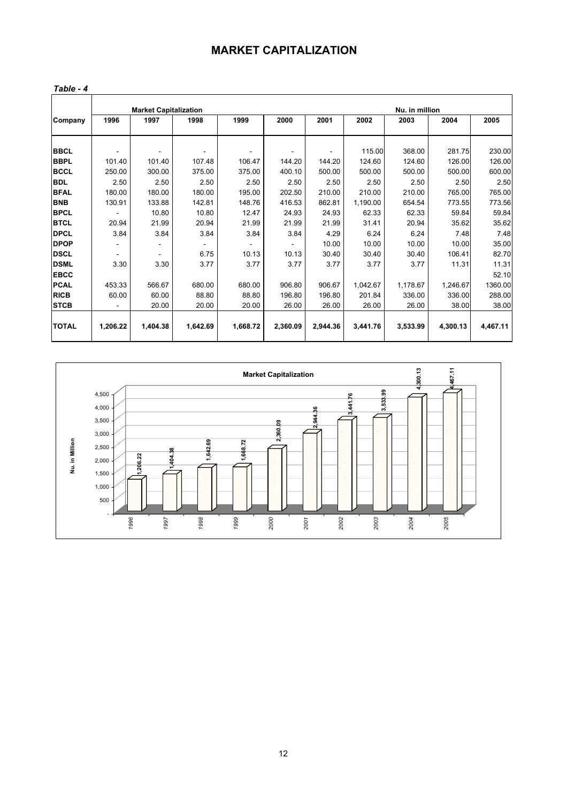## **MARKET CAPITALIZATION**

| able |  |  |
|------|--|--|
|------|--|--|

|              |          | <b>Market Capitalization</b> |          |                          |          |          |          | Nu. in million |          |          |
|--------------|----------|------------------------------|----------|--------------------------|----------|----------|----------|----------------|----------|----------|
| Company      | 1996     | 1997                         | 1998     | 1999                     | 2000     | 2001     | 2002     | 2003           | 2004     | 2005     |
|              |          |                              |          |                          |          |          |          |                |          |          |
| <b>BBCL</b>  | ٠        |                              |          | $\overline{\phantom{a}}$ |          |          | 115.00   | 368.00         | 281.75   | 230.00   |
| <b>BBPL</b>  | 101.40   | 101.40                       | 107.48   | 106.47                   | 144.20   | 144.20   | 124.60   | 124.60         | 126.00   | 126.00   |
| <b>BCCL</b>  | 250.00   | 300.00                       | 375.00   | 375.00                   | 400.10   | 500.00   | 500.00   | 500.00         | 500.00   | 600.00   |
| <b>BDL</b>   | 2.50     | 2.50                         | 2.50     | 2.50                     | 2.50     | 2.50     | 2.50     | 2.50           | 2.50     | 2.50     |
| <b>BFAL</b>  | 180.00   | 180.00                       | 180.00   | 195.00                   | 202.50   | 210.00   | 210.00   | 210.00         | 765.00   | 765.00   |
| <b>BNB</b>   | 130.91   | 133.88                       | 142.81   | 148.76                   | 416.53   | 862.81   | 1,190.00 | 654.54         | 773.55   | 773.56   |
| <b>BPCL</b>  |          | 10.80                        | 10.80    | 12.47                    | 24.93    | 24.93    | 62.33    | 62.33          | 59.84    | 59.84    |
| <b>BTCL</b>  | 20.94    | 21.99                        | 20.94    | 21.99                    | 21.99    | 21.99    | 31.41    | 20.94          | 35.62    | 35.62    |
| <b>DPCL</b>  | 3.84     | 3.84                         | 3.84     | 3.84                     | 3.84     | 4.29     | 6.24     | 6.24           | 7.48     | 7.48     |
| <b>DPOP</b>  |          |                              |          |                          |          | 10.00    | 10.00    | 10.00          | 10.00    | 35.00    |
| <b>DSCL</b>  |          |                              | 6.75     | 10.13                    | 10.13    | 30.40    | 30.40    | 30.40          | 106.41   | 82.70    |
| <b>DSML</b>  | 3.30     | 3.30                         | 3.77     | 3.77                     | 3.77     | 3.77     | 3.77     | 3.77           | 11.31    | 11.31    |
| <b>EBCC</b>  |          |                              |          |                          |          |          |          |                |          | 52.10    |
| <b>PCAL</b>  | 453.33   | 566.67                       | 680.00   | 680.00                   | 906.80   | 906.67   | 1,042.67 | 1,178.67       | 1,246.67 | 1360.00  |
| <b>RICB</b>  | 60.00    | 60.00                        | 88.80    | 88.80                    | 196.80   | 196.80   | 201.84   | 336.00         | 336.00   | 288.00   |
| <b>STCB</b>  |          | 20.00                        | 20.00    | 20.00                    | 26.00    | 26.00    | 26.00    | 26.00          | 38.00    | 38.00    |
|              |          |                              |          |                          |          |          |          |                |          |          |
| <b>TOTAL</b> | 1,206.22 | 1,404.38                     | 1,642.69 | 1,668.72                 | 2,360.09 | 2,944.36 | 3,441.76 | 3,533.99       | 4,300.13 | 4,467.11 |

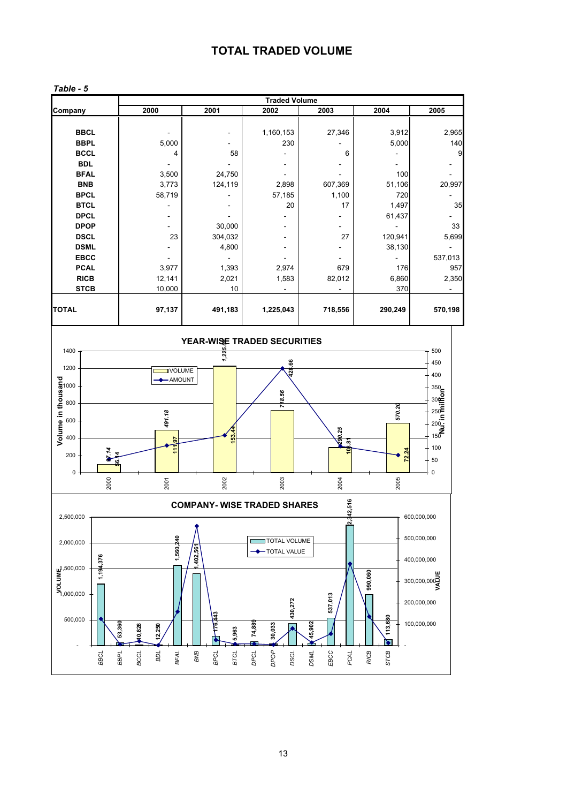## **TOTAL TRADED VOLUME**

|                                                                                                                                                                                                                                                                                                                                                                                                                                                                                                                                                                                                                                                                              |                                                                                                                                                                                                                             |                                                |                                                                 |                                                                         | <b>Traded Volume</b>                                                               |                                                                                      |                                                                                                |                                                                                                                                                                                   |
|------------------------------------------------------------------------------------------------------------------------------------------------------------------------------------------------------------------------------------------------------------------------------------------------------------------------------------------------------------------------------------------------------------------------------------------------------------------------------------------------------------------------------------------------------------------------------------------------------------------------------------------------------------------------------|-----------------------------------------------------------------------------------------------------------------------------------------------------------------------------------------------------------------------------|------------------------------------------------|-----------------------------------------------------------------|-------------------------------------------------------------------------|------------------------------------------------------------------------------------|--------------------------------------------------------------------------------------|------------------------------------------------------------------------------------------------|-----------------------------------------------------------------------------------------------------------------------------------------------------------------------------------|
| Company                                                                                                                                                                                                                                                                                                                                                                                                                                                                                                                                                                                                                                                                      |                                                                                                                                                                                                                             |                                                | 2000                                                            | 2001                                                                    | 2002                                                                               | 2003                                                                                 | 2004                                                                                           | 2005                                                                                                                                                                              |
|                                                                                                                                                                                                                                                                                                                                                                                                                                                                                                                                                                                                                                                                              | <b>BBCL</b><br><b>BBPL</b><br><b>BCCL</b><br><b>BDL</b><br><b>BFAL</b><br><b>BNB</b><br><b>BPCL</b><br><b>BTCL</b><br><b>DPCL</b><br><b>DPOP</b><br><b>DSCL</b><br><b>DSML</b><br><b>EBCC</b><br><b>PCAL</b><br><b>RICB</b> |                                                | 5,000<br>4<br>3,500<br>3,773<br>58,719<br>23<br>3,977<br>12,141 | 58<br>24,750<br>124,119<br>30,000<br>304,032<br>4,800<br>1,393<br>2,021 | 1,160,153<br>230<br>2,898<br>57,185<br>20<br>2,974<br>1,583                        | 27,346<br>6<br>607,369<br>1,100<br>17<br>27<br>679<br>82,012                         | 3,912<br>5,000<br>100<br>51,106<br>720<br>1,497<br>61,437<br>120,941<br>38,130<br>176<br>6,860 | 2,965<br>140<br>9<br>20,997<br>35<br>33<br>5,699<br>537,013<br>957<br>2,350                                                                                                       |
|                                                                                                                                                                                                                                                                                                                                                                                                                                                                                                                                                                                                                                                                              | <b>STCB</b><br>10,000<br>10                                                                                                                                                                                                 |                                                |                                                                 |                                                                         |                                                                                    |                                                                                      | 370                                                                                            |                                                                                                                                                                                   |
| <b>TOTAL</b>                                                                                                                                                                                                                                                                                                                                                                                                                                                                                                                                                                                                                                                                 |                                                                                                                                                                                                                             |                                                | 97,137                                                          | 491,183                                                                 | 1,225,043                                                                          | 718,556                                                                              | 290,249                                                                                        | 570,198                                                                                                                                                                           |
| 1400<br>1200<br>Volume in thousand<br>$\frac{8}{3}$<br>$\frac{8}{3}$<br>$\frac{8}{3}$<br>200<br>0                                                                                                                                                                                                                                                                                                                                                                                                                                                                                                                                                                            | $\frac{14}{1}$<br>চ<br>ဖ<br>2000                                                                                                                                                                                            |                                                | <b>VOLUME</b><br>- AMOUNT<br>491.18<br>50<br>111<br>2001        | YEAR-WISE TRADED SECURITIES<br>1,225.<br>$\frac{63}{5}$<br>2002         | 28.66<br>718.56<br>2003                                                            | 290.25<br>$\tilde{e}$<br>2004                                                        | 570.20<br>72.24<br>2005                                                                        | 500<br>450<br>400<br>$350 - 50$<br>$300 = 5$<br>$250\begin{array}{l}\n 250\n \end{array}$ $200\begin{array}{l}\n 25\n \end{array}$<br>15 $\bar{\bar{\epsilon}}$<br>100<br>50<br>0 |
|                                                                                                                                                                                                                                                                                                                                                                                                                                                                                                                                                                                                                                                                              |                                                                                                                                                                                                                             |                                                |                                                                 | <b>COMPANY- WISE TRADED SHARES</b>                                      |                                                                                    |                                                                                      |                                                                                                |                                                                                                                                                                                   |
| 2,500,000<br>2,000,000<br>$\begin{array}{l} \underline{\mathbf{u}}^1, 500, 000 \\ \underline{\mathbf{v}} \\ \underline{\mathbf{v}} \\ \underline{\mathbf{v}} \\ \underline{\mathbf{v}} \\ \underline{\mathbf{v}} \\ \underline{\mathbf{v}} \\ \underline{\mathbf{v}} \\ \underline{\mathbf{v}} \\ \underline{\mathbf{v}} \\ \underline{\mathbf{v}} \\ \underline{\mathbf{v}} \\ \underline{\mathbf{v}} \\ \underline{\mathbf{v}} \\ \underline{\mathbf{v}} \\ \underline{\mathbf{v}} \\ \underline{\mathbf{v}} \\ \underline{\mathbf{v}} \\ \underline{\mathbf{v}} \\ \underline{\mathbf{v}} \\ \underline{\mathbf{v}} \\ \underline{\mathbf{v}} \\ \underline{\$<br>500,000 | 1,194,376<br><b>BBCL</b>                                                                                                                                                                                                    | 53,360<br>10,828<br><b>BBPL</b><br><b>BCCL</b> | 1,560,240<br>12,250<br>BDL<br><b>BFAL</b>                       | ,402,561<br>Le'43<br>5,963<br>BNB<br>BPCL<br>BTCL                       | TOTAL VOLUME<br>TOTAL VALUE<br>430,272<br>74,889<br>30,033<br>DPOP<br>DPCL<br>DSCL | 342,516<br>$\tilde{\phantom{0}}$<br>537,013<br>45,902<br>EBCC<br><b>DSML</b><br>PCAL | 990,060<br>113,680<br>♦<br><b>RICB</b><br>STCB                                                 | 600,000,000<br>500,000,000<br>400,000,000<br>300,000,000<br>200,000,000<br>100,000,000                                                                                            |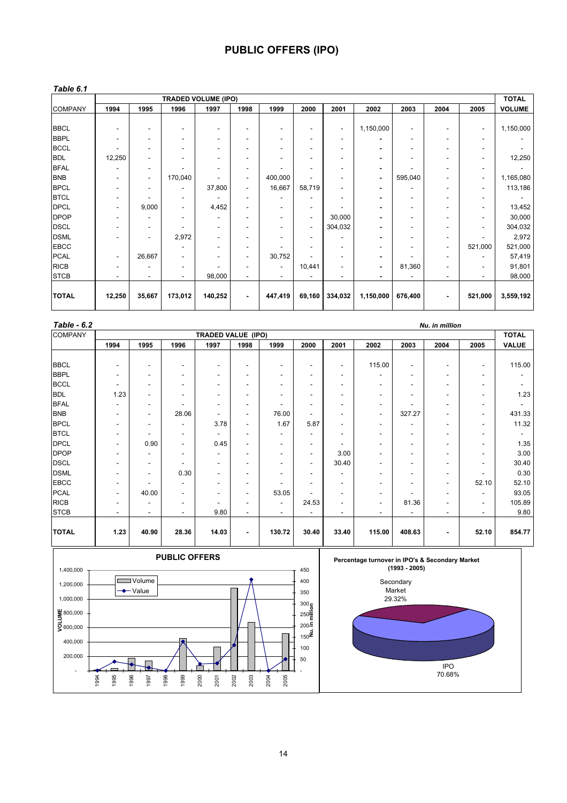## **PUBLIC OFFERS (IPO)**

#### *Table 6.1*

|                |                              |                          |                          | <b>TRADED VOLUME (IPO)</b> |                              |                          |                          |                |           |         |                          |                          | <b>TOTAL</b>  |
|----------------|------------------------------|--------------------------|--------------------------|----------------------------|------------------------------|--------------------------|--------------------------|----------------|-----------|---------|--------------------------|--------------------------|---------------|
| <b>COMPANY</b> | 1994                         | 1995                     | 1996                     | 1997                       | 1998                         | 1999                     | 2000                     | 2001           | 2002      | 2003    | 2004                     | 2005                     | <b>VOLUME</b> |
|                |                              |                          |                          |                            |                              |                          |                          |                |           |         |                          |                          |               |
| <b>BBCL</b>    | $\qquad \qquad \blacksquare$ | ٠                        | ٠                        | $\overline{\phantom{a}}$   | $\overline{\phantom{a}}$     | -                        | $\overline{\phantom{a}}$ | $\sim$         | 1,150,000 |         | $\overline{\phantom{a}}$ | $\sim$                   | 1,150,000     |
| <b>BBPL</b>    | ۰                            |                          | ۰                        | ۰                          | $\overline{\phantom{a}}$     |                          |                          |                |           |         |                          |                          |               |
| <b>BCCL</b>    | ٠                            |                          | ۰                        | ۰                          | ٠                            | ٠                        |                          |                |           |         |                          |                          |               |
| <b>BDL</b>     | 12,250                       | ۰.                       | ٠                        | $\overline{\phantom{a}}$   | $\overline{\phantom{a}}$     | ۰                        | ٠                        |                |           |         | $\overline{\phantom{a}}$ |                          | 12,250        |
| <b>BFAL</b>    |                              |                          |                          | ۰                          | ٠                            |                          |                          |                |           |         |                          |                          |               |
| <b>BNB</b>     |                              | $\overline{\phantom{a}}$ | 170,040                  |                            | $\overline{\phantom{a}}$     | 400,000                  |                          |                | ٠         | 595,040 |                          | $\overline{\phantom{a}}$ | 1,165,080     |
| <b>BPCL</b>    |                              | $\overline{\phantom{a}}$ |                          | 37,800                     | $\overline{\phantom{a}}$     | 16,667                   | 58,719                   | $\blacksquare$ | ۰         |         | $\overline{\phantom{a}}$ | $\overline{\phantom{a}}$ | 113,186       |
| <b>BTCL</b>    | -                            |                          | ۰                        |                            | $\qquad \qquad \blacksquare$ |                          |                          |                |           |         |                          |                          |               |
| <b>DPCL</b>    | $\qquad \qquad \blacksquare$ | 9,000                    | ٠                        | 4,452                      | $\qquad \qquad \blacksquare$ | ۰                        |                          |                |           |         |                          |                          | 13,452        |
| <b>DPOP</b>    |                              | $\overline{\phantom{a}}$ |                          | ۰                          | $\overline{\phantom{a}}$     | $\overline{\phantom{a}}$ | $\overline{\phantom{a}}$ | 30,000         | ۰         | ۰       | $\overline{\phantom{a}}$ |                          | 30,000        |
| <b>DSCL</b>    | -                            |                          | ٠                        | ۰                          | $\qquad \qquad \blacksquare$ | ٠                        | $\overline{\phantom{a}}$ | 304,032        |           |         |                          |                          | 304,032       |
| <b>DSML</b>    |                              |                          | 2,972                    |                            | ٠                            |                          |                          |                |           |         |                          |                          | 2,972         |
| <b>EBCC</b>    |                              |                          | ۰                        | ۰                          | $\overline{\phantom{a}}$     |                          |                          |                |           | ۰       | $\overline{\phantom{a}}$ | 521,000                  | 521,000       |
| <b>PCAL</b>    | $\overline{\phantom{a}}$     | 26,667                   | $\overline{\phantom{a}}$ | $\overline{\phantom{a}}$   | $\overline{\phantom{a}}$     | 30,752                   |                          |                |           |         |                          |                          | 57,419        |
| <b>RICB</b>    | $\qquad \qquad \blacksquare$ |                          | ۰                        |                            | $\overline{\phantom{a}}$     |                          | 10,441                   |                | ۰         | 81,360  |                          |                          | 91,801        |
| <b>STCB</b>    | ٠                            | ۰                        | $\overline{\phantom{a}}$ | 98,000                     | ٠                            | ۰                        |                          |                |           |         | $\overline{\phantom{a}}$ |                          | 98,000        |
| <b>TOTAL</b>   | 12,250                       | 35,667                   | 173,012                  | 140,252                    |                              | 447,419                  |                          |                | 1,150,000 | 676,400 |                          | 521,000                  |               |
|                |                              |                          |                          |                            | $\blacksquare$               |                          | 69,160                   | 334,032        |           |         | ٠                        |                          | 3,559,192     |

| Table - 6.2<br>Nu. in million |       |                              |                          |                          |                          |                                     |                          |        |                          |        |       |              |  |
|-------------------------------|-------|------------------------------|--------------------------|--------------------------|--------------------------|-------------------------------------|--------------------------|--------|--------------------------|--------|-------|--------------|--|
|                               |       |                              |                          |                          |                          |                                     |                          |        |                          |        |       | <b>TOTAL</b> |  |
| 1994                          | 1995  | 1996                         | 1997                     | 1998                     | 1999                     | 2000                                | 2001                     | 2002   | 2003                     | 2004   | 2005  | <b>VALUE</b> |  |
|                               |       |                              |                          |                          |                          |                                     |                          |        |                          |        |       |              |  |
| $\overline{\phantom{a}}$      | ۰     |                              | ۰                        | ٠.                       | ٠                        | $\overline{\phantom{a}}$            | ٠.                       |        | $\overline{\phantom{a}}$ | ۰      | ٠     | 115.00       |  |
|                               |       | ٠                            | ۰                        | ٠                        | -                        | ۰                                   | ٠                        | ۰      |                          |        |       |              |  |
| $\overline{\phantom{a}}$      |       | ٠                            | ۰                        | ٠                        | ٠                        | $\overline{\phantom{a}}$            | ٠                        | ٠      | ۰                        |        |       |              |  |
| 1.23                          |       | ۰                            | ۰                        | ٠                        | $\overline{\phantom{a}}$ | ٠                                   | ٠                        | ۰      | ۰                        | ۰      | ۰     | 1.23         |  |
| ٠                             |       | ۰                            | ۰                        | ٠.                       |                          | ٠                                   | ٠                        | ۰      |                          |        |       |              |  |
| $\overline{\phantom{a}}$      | ۰     | 28.06                        | -                        | $\overline{\phantom{a}}$ | 76.00                    | $\overline{\phantom{a}}$            | $\overline{\phantom{a}}$ | $\sim$ | 327.27                   | ۰      | ۰     | 431.33       |  |
| $\overline{\phantom{a}}$      | ۰     | ٠                            | 3.78                     | $\overline{\phantom{a}}$ | 1.67                     | 5.87                                | ۰                        | ۰      |                          | ۰      | ۰     | 11.32        |  |
| ٠                             | ۰     |                              | ۰.                       | $\overline{\phantom{a}}$ | $\overline{\phantom{a}}$ | ٠.                                  | ٠                        | ۰      | $\overline{\phantom{a}}$ | ۰      | ۰     | ٠.           |  |
| ٠                             | 0.90  | $\overline{\phantom{a}}$     | 0.45                     | $\overline{\phantom{a}}$ | $\overline{\phantom{a}}$ | ٠.                                  | ٠.                       | ۰      | ۰                        | ۰      | ۰     | 1.35         |  |
| ٠                             |       | $\overline{\phantom{a}}$     | ۰                        | $\overline{\phantom{a}}$ | $\overline{\phantom{a}}$ | Ξ.                                  | 3.00                     | ۰      | ٠                        |        |       | 3.00         |  |
| $\overline{\phantom{a}}$      | ۰     | $\overline{\phantom{a}}$     | $\overline{\phantom{0}}$ | $\overline{\phantom{a}}$ | $\overline{\phantom{a}}$ | $\sim$                              | 30.40                    | ٠      | $\overline{\phantom{a}}$ | ۰      | -     | 30.40        |  |
| $\overline{\phantom{a}}$      | ۰     | 0.30                         | ۰                        | $\overline{\phantom{a}}$ | ٠                        | ٠.                                  | ۰                        | ۰      | ۰                        |        |       | 0.30         |  |
| ٠                             |       | $\qquad \qquad \blacksquare$ | ۰                        | ٠.                       |                          | ٠                                   | ٠                        | ۰      | ۰                        | ٠      | 52.10 | 52.10        |  |
| ٠                             | 40.00 | $\overline{\phantom{a}}$     | ۰                        | $\overline{\phantom{a}}$ | 53.05                    | ٠                                   | ٠.                       | ۰      |                          | ٠      | ۰     | 93.05        |  |
| $\overline{\phantom{a}}$      | ۰     | ٠                            | ۰                        | $\overline{\phantom{a}}$ | $\overline{\phantom{a}}$ | 24.53                               | ٠                        | ٠.     | 81.36                    |        | ۰     | 105.89       |  |
| $\overline{\phantom{a}}$      | ۰     | $\overline{\phantom{0}}$     | 9.80                     | $\blacksquare$           | $\overline{a}$           | $\overline{\phantom{0}}$            | $\overline{\phantom{0}}$ | ٠      |                          | ۰      | ۰     | 9.80         |  |
|                               |       |                              |                          |                          |                          |                                     |                          |        |                          |        |       | 854.77       |  |
|                               | 1.23  | 40.90                        | 28.36                    | 14.03                    | $\blacksquare$           | <b>TRADED VALUE (IPO)</b><br>130.72 | 30.40                    | 33.40  | 115.00<br>115.00         | 408.63 |       | 52.10        |  |



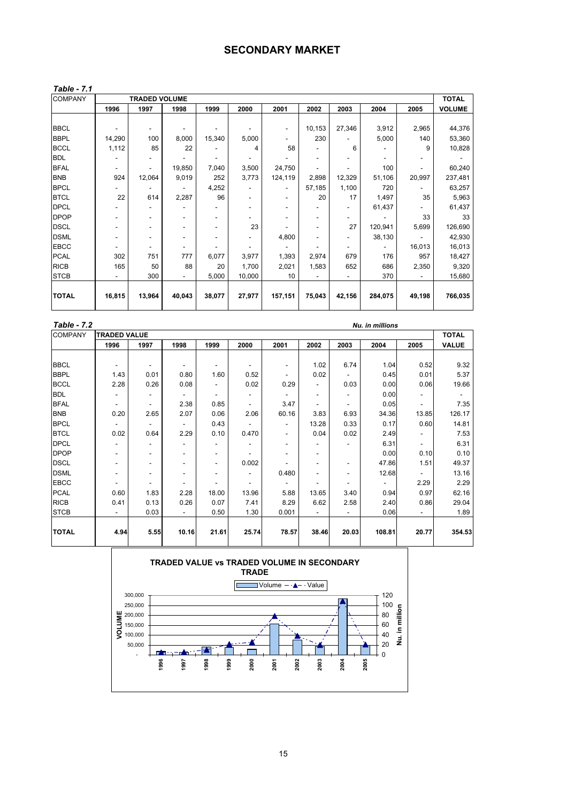### **SECONDARY MARKET**

| able |  |  |
|------|--|--|
|------|--|--|

| <b>COMPANY</b> | <b>TRADED VOLUME</b>     |                          |                          |                          |        |         |        |        | <b>TOTAL</b> |        |               |
|----------------|--------------------------|--------------------------|--------------------------|--------------------------|--------|---------|--------|--------|--------------|--------|---------------|
|                | 1996                     | 1997                     | 1998                     | 1999                     | 2000   | 2001    | 2002   | 2003   | 2004         | 2005   | <b>VOLUME</b> |
|                |                          |                          |                          |                          |        |         |        |        |              |        |               |
| <b>BBCL</b>    |                          | $\overline{\phantom{a}}$ |                          |                          |        |         | 10,153 | 27,346 | 3,912        | 2,965  | 44,376        |
| <b>BBPL</b>    | 14,290                   | 100                      | 8,000                    | 15,340                   | 5,000  |         | 230    |        | 5,000        | 140    | 53,360        |
| <b>BCCL</b>    | 1,112                    | 85                       | 22                       |                          | 4      | 58      | ٠      | 6      |              | 9      | 10,828        |
| <b>BDL</b>     |                          |                          |                          |                          |        |         |        |        |              |        |               |
| <b>BFAL</b>    | $\overline{\phantom{a}}$ |                          | 19,850                   | 7,040                    | 3,500  | 24,750  |        |        | 100          |        | 60,240        |
| <b>BNB</b>     | 924                      | 12,064                   | 9,019                    | 252                      | 3,773  | 124,119 | 2,898  | 12,329 | 51,106       | 20,997 | 237,481       |
| <b>BPCL</b>    |                          |                          |                          | 4,252                    |        |         | 57,185 | 1,100  | 720          |        | 63,257        |
| <b>BTCL</b>    | 22                       | 614                      | 2,287                    | 96                       |        |         | 20     | 17     | 1,497        | 35     | 5,963         |
| <b>DPCL</b>    |                          |                          |                          |                          |        |         |        |        | 61,437       |        | 61,437        |
| <b>DPOP</b>    |                          | $\overline{\phantom{a}}$ | $\overline{\phantom{a}}$ | $\overline{\phantom{0}}$ |        |         | -      | -      |              | 33     | 33            |
| <b>DSCL</b>    |                          | ٠                        | $\overline{\phantom{a}}$ | ٠                        | 23     |         | ٠      | 27     | 120,941      | 5,699  | 126,690       |
| <b>DSML</b>    |                          | $\overline{\phantom{a}}$ | ۰                        |                          |        | 4,800   | ٠      |        | 38,130       |        | 42,930        |
| <b>EBCC</b>    | $\overline{\phantom{a}}$ | $\overline{\phantom{a}}$ | $\overline{\phantom{a}}$ |                          |        |         |        |        |              | 16,013 | 16,013        |
| <b>PCAL</b>    | 302                      | 751                      | 777                      | 6,077                    | 3,977  | 1,393   | 2,974  | 679    | 176          | 957    | 18,427        |
| <b>RICB</b>    | 165                      | 50                       | 88                       | 20                       | 1,700  | 2,021   | 1,583  | 652    | 686          | 2,350  | 9,320         |
| <b>STCB</b>    |                          | 300                      |                          | 5,000                    | 10,000 | 10      |        |        | 370          |        | 15,680        |
|                |                          |                          |                          |                          |        |         |        |        |              |        |               |
| <b>TOTAL</b>   | 16,815                   | 13,964                   | 40,043                   | 38,077                   | 27,977 | 157,151 | 75,043 | 42,156 | 284,075      | 49,198 | 766,035       |

| Table - 7.2    |                          |                          |                          |       |                          |                          |                          |                          | Nu. in millions          |                          |                          |
|----------------|--------------------------|--------------------------|--------------------------|-------|--------------------------|--------------------------|--------------------------|--------------------------|--------------------------|--------------------------|--------------------------|
| <b>COMPANY</b> | <b>TRADED VALUE</b>      |                          |                          |       |                          |                          |                          |                          |                          |                          | <b>TOTAL</b>             |
|                | 1996                     | 1997                     | 1998                     | 1999  | 2000                     | 2001                     | 2002                     | 2003                     | 2004                     | 2005                     | <b>VALUE</b>             |
|                |                          |                          |                          |       |                          |                          |                          |                          |                          |                          |                          |
| <b>BBCL</b>    | $\overline{\phantom{a}}$ | $\overline{\phantom{a}}$ | $\overline{\phantom{a}}$ | ۰     | $\overline{\phantom{a}}$ | ٠                        | 1.02                     | 6.74                     | 1.04                     | 0.52                     | 9.32                     |
| <b>BBPL</b>    | 1.43                     | 0.01                     | 0.80                     | 1.60  | 0.52                     | $\overline{\phantom{a}}$ | 0.02                     |                          | 0.45                     | 0.01                     | 5.37                     |
| <b>BCCL</b>    | 2.28                     | 0.26                     | 0.08                     | ٠     | 0.02                     | 0.29                     | ٠                        | 0.03                     | 0.00                     | 0.06                     | 19.66                    |
| <b>BDL</b>     |                          |                          | $\overline{\phantom{a}}$ | ۰     | $\overline{\phantom{0}}$ | $\overline{\phantom{0}}$ | ٠                        |                          | 0.00                     | ۰                        | $\overline{\phantom{0}}$ |
| <b>BFAL</b>    | $\overline{\phantom{a}}$ | $\overline{\phantom{a}}$ | 2.38                     | 0.85  | $\overline{\phantom{0}}$ | 3.47                     | $\overline{\phantom{a}}$ | $\overline{\phantom{0}}$ | 0.05                     | $\overline{\phantom{0}}$ | 7.35                     |
| <b>BNB</b>     | 0.20                     | 2.65                     | 2.07                     | 0.06  | 2.06                     | 60.16                    | 3.83                     | 6.93                     | 34.36                    | 13.85                    | 126.17                   |
| <b>BPCL</b>    |                          |                          |                          | 0.43  | ٠                        | -                        | 13.28                    | 0.33                     | 0.17                     | 0.60                     | 14.81                    |
| <b>BTCL</b>    | 0.02                     | 0.64                     | 2.29                     | 0.10  | 0.470                    | $\sim$                   | 0.04                     | 0.02                     | 2.49                     | ۰                        | 7.53                     |
| <b>DPCL</b>    | ٠                        | ٠                        |                          | ۰     | ۰                        | ۰                        | ٠                        |                          | 6.31                     | $\overline{\phantom{0}}$ | 6.31                     |
| <b>DPOP</b>    | -                        | $\overline{\phantom{a}}$ | $\overline{\phantom{a}}$ | ۰     |                          |                          | ٠                        |                          | 0.00                     | 0.10                     | 0.10                     |
| <b>DSCL</b>    | -                        | $\overline{\phantom{a}}$ | $\overline{\phantom{a}}$ | ۰     | 0.002                    |                          | $\overline{\phantom{a}}$ | ۰                        | 47.86                    | 1.51                     | 49.37                    |
| <b>DSML</b>    | $\overline{\phantom{a}}$ | ٠                        | $\overline{\phantom{a}}$ | ۰     | ٠                        | 0.480                    | $\overline{\phantom{a}}$ | ۰                        | 12.68                    | $\overline{\phantom{a}}$ | 13.16                    |
| <b>EBCC</b>    | $\sim$                   | $\overline{\phantom{a}}$ | $\overline{\phantom{a}}$ |       | ٠                        | $\sim$                   | ÷                        | ٠                        | $\overline{\phantom{0}}$ | 2.29                     | 2.29                     |
| <b>PCAL</b>    | 0.60                     | 1.83                     | 2.28                     | 18.00 | 13.96                    | 5.88                     | 13.65                    | 3.40                     | 0.94                     | 0.97                     | 62.16                    |
| <b>RICB</b>    | 0.41                     | 0.13                     | 0.26                     | 0.07  | 7.41                     | 8.29                     | 6.62                     | 2.58                     | 2.40                     | 0.86                     | 29.04                    |
| <b>STCB</b>    | ٠                        | 0.03                     | $\overline{a}$           | 0.50  | 1.30                     | 0.001                    | $\mathbf{r}$             | L,                       | 0.06                     | ÷,                       | 1.89                     |
|                |                          |                          |                          |       |                          |                          |                          |                          |                          |                          |                          |
| <b>TOTAL</b>   | 4.94                     | 5.55                     | 10.16                    | 21.61 | 25.74                    | 78.57                    | 38.46                    | 20.03                    | 108.81                   | 20.77                    | 354.53                   |
|                |                          |                          |                          |       |                          |                          |                          |                          |                          |                          |                          |

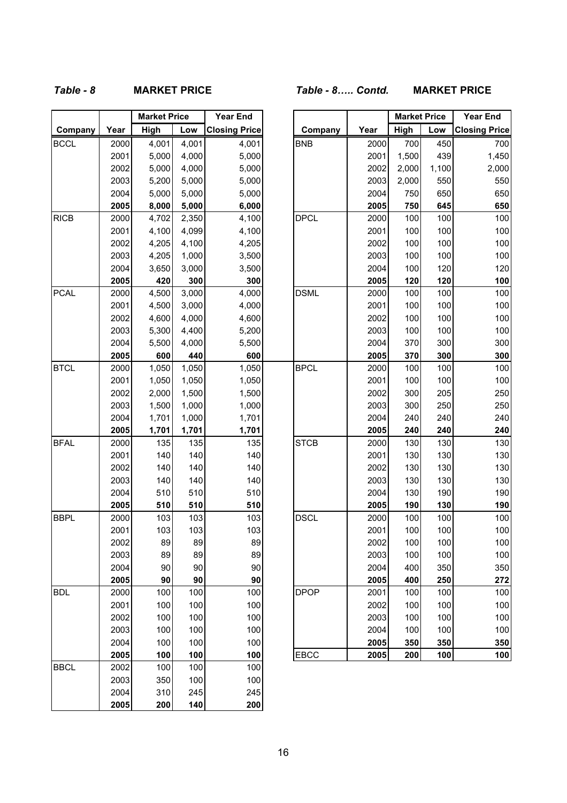# *Table - 8* **MARKET PRICE** *Table - 8….. Contd.* **MARKET PRICE**

|             |              | <b>Market Price</b> |            | <b>Year End</b>      |  |
|-------------|--------------|---------------------|------------|----------------------|--|
| Company     | Year         | High                | Low        | <b>Closing Price</b> |  |
| <b>BCCL</b> | 2000         | 4,001               | 4,001      | 4,001                |  |
|             | 2001         | 5,000               | 4,000      | 5,000                |  |
|             | 2002         | 5,000               | 4,000      | 5,000                |  |
|             | 2003         | 5,200               | 5,000      | 5,000                |  |
|             | 2004         | 5,000               | 5,000      | 5,000                |  |
|             | 2005         | 8,000               | 5,000      | 6,000                |  |
| <b>RICB</b> | 2000         | 4,702               | 2,350      | 4,100                |  |
|             | 2001         | 4,100               | 4,099      | 4,100                |  |
|             | 2002         | 4,205               | 4,100      | 4,205                |  |
|             | 2003         | 4,205               | 1,000      | 3,500                |  |
|             | 2004         | 3,650               | 3,000      | 3,500                |  |
|             | 2005         | 420                 | 300        | 300                  |  |
| <b>PCAL</b> | 2000         | 4,500               | 3,000      | 4,000                |  |
|             | 2001         | 4,500               | 3,000      | 4,000                |  |
|             | 2002         | 4,600               | 4,000      | 4,600                |  |
|             | 2003         | 5,300               | 4,400      | 5,200                |  |
|             | 2004         | 5,500               | 4,000      | 5,500                |  |
|             | 2005         | 600                 | 440        | 600                  |  |
| <b>BTCL</b> | 2000         | 1,050               | 1,050      | 1,050                |  |
|             | 2001         | 1,050               | 1,050      | 1,050                |  |
|             | 2002         | 2,000               | 1,500      | 1,500                |  |
|             | 2003         | 1,500               | 1,000      | 1,000                |  |
|             | 2004         | 1,701               | 1,000      | 1,701                |  |
|             | 2005         | 1,701               | 1,701      | 1,701                |  |
| <b>BFAL</b> | 2000         | 135                 | 135        | 135                  |  |
|             | 2001         | 140                 | 140        | 140                  |  |
|             | 2002         | 140                 | 140        | 140                  |  |
|             | 2003         | 140                 | 140        | 140                  |  |
|             | 2004         | 510                 | 510        | 510                  |  |
|             | 2005         | 510                 | 510        | 510                  |  |
| <b>BBPL</b> | 2000         | 103                 | 103        | 103                  |  |
|             | 2001         | 103                 | 103        | 103                  |  |
|             | 2002         | 89                  | 89         | 89                   |  |
|             | 2003         | 89                  | 89         | 89                   |  |
|             | 2004         | 90                  | 90         | 90                   |  |
| <b>BDL</b>  | 2005         | 90<br>100           | 90<br>100  | 90<br>100            |  |
|             | 2000<br>2001 |                     |            |                      |  |
|             |              | 100                 | 100        | 100<br>100           |  |
|             | 2002<br>2003 | 100<br>100          | 100<br>100 | 100                  |  |
|             | 2004         | 100                 | 100        | 100                  |  |
|             | 2005         | 100                 | 100        | 100                  |  |
| <b>BBCL</b> | 2002         | 100                 | 100        | 100                  |  |
|             | 2003         | 350                 | 100        | 100                  |  |
|             | 2004         | 310                 | 245        | 245                  |  |
|             | 2005         | 200                 | 140        | 200                  |  |
|             |              |                     |            |                      |  |

|             |              | <b>Market Price</b> |              | <b>Year End</b>      |             |              | <b>Market Price</b> |            | <b>Year End</b>      |
|-------------|--------------|---------------------|--------------|----------------------|-------------|--------------|---------------------|------------|----------------------|
| Company     | Year         | High                | Low          | <b>Closing Price</b> | Company     | Year         | High                | Low        | <b>Closing Price</b> |
| <b>BCCL</b> | 2000         | 4,001               | 4,001        | 4,001                | <b>BNB</b>  | 2000         | 700                 | 450        | 700                  |
|             | 2001         | 5,000               | 4,000        | 5,000                |             | 2001         | 1,500               | 439        | 1,450                |
|             | 2002         | 5,000               | 4,000        | 5,000                |             | 2002         | 2,000               | 1,100      | 2,000                |
|             | 2003         | 5,200               | 5,000        | 5,000                |             | 2003         | 2,000               | 550        | 550                  |
|             | 2004         | 5,000               | 5,000        | 5,000                |             | 2004         | 750                 | 650        | 650                  |
|             | 2005         | 8,000               | 5,000        | 6,000                |             | 2005         | 750                 | 645        | 650                  |
| <b>RICB</b> | 2000         | 4,702               | 2,350        | 4,100                | <b>DPCL</b> | 2000         | 100                 | 100        | 100                  |
|             | 2001         | 4,100               | 4,099        | 4,100                |             | 2001         | 100                 | 100        | 100                  |
|             | 2002         | 4,205               | 4,100        | 4,205                |             | 2002         | 100                 | 100        | 100                  |
|             | 2003         | 4,205               | 1,000        | 3,500                |             | 2003         | 100                 | 100        | 100                  |
|             | 2004         | 3,650               | 3,000        | 3,500                |             | 2004         | 100                 | 120        | 120                  |
|             | 2005         | 420                 | 300          | 300                  |             | 2005         | 120                 | 120        | 100                  |
| PCAL        | 2000         | 4,500               | 3,000        | 4,000                | <b>DSML</b> | 2000         | 100                 | 100        | 100                  |
|             | 2001         | 4,500               | 3,000        | 4,000                |             | 2001         | 100                 | 100        | 100                  |
|             | 2002         | 4,600               | 4,000        | 4,600                |             | 2002         | 100                 | 100        | 100                  |
|             | 2003         | 5,300               | 4,400        | 5,200                |             | 2003         | 100                 | 100        | 100                  |
|             | 2004         | 5,500               | 4,000        | 5,500                |             | 2004         | 370                 | 300        | 300                  |
|             | 2005         | 600                 | 440          | 600                  |             | 2005         | 370                 | 300        | 300                  |
| <b>BTCL</b> | 2000         | 1,050               | 1,050        | 1,050                | <b>BPCL</b> | 2000         | 100                 | 100        | 100                  |
|             | 2001         | 1,050               | 1,050        | 1,050                |             | 2001         | 100                 | 100        | 100                  |
|             | 2002         | 2,000               | 1,500        | 1,500                |             | 2002         | 300                 | 205        | 250                  |
|             | 2003         | 1,500               | 1,000        | 1,000                |             | 2003         | 300                 | 250        | 250                  |
|             | 2004         | 1,701               | 1,000        | 1,701                |             | 2004         | 240                 | 240        | 240                  |
|             | 2005         | 1,701               | 1,701        | 1,701                |             | 2005         | 240                 | 240        | 240                  |
| <b>BFAL</b> | 2000         | 135                 | 135          | 135                  | <b>STCB</b> | 2000         | 130                 | 130        | 130                  |
|             | 2001         | 140                 | 140          | 140                  |             | 2001         | 130                 | 130        | 130                  |
|             | 2002         | 140                 | 140          | 140                  |             | 2002         | 130                 | 130        | 130                  |
|             | 2003         | 140                 | 140          | 140                  |             | 2003         | 130                 | 130        | 130                  |
|             | 2004         | 510                 | 510          | 510                  |             | 2004         | 130                 | 190        | 190                  |
|             | 2005         | 510                 | 510          | 510                  |             | 2005         | 190                 | 130        | 190                  |
| <b>BBPL</b> | 2000         | 103                 | 103          | 103                  | <b>DSCL</b> | 2000         | 100                 | 100        | 100                  |
|             | 2001         | 103                 | 103          | 103                  |             | 2001         | 100                 | 100        | 100                  |
|             | 2002         | 89                  | 89           | 89                   |             | 2002         | 100                 | 100        | 100                  |
|             | 2003         | 89                  | 89           | 89                   |             | 2003         | 100                 | 100        | 100                  |
|             | 2004<br>2005 | 90<br>90            | 90<br>$90\,$ | 90<br>90             |             | 2004<br>2005 | 400                 | 350        | 350<br>272           |
| <b>BDL</b>  | 2000         | 100                 | 100          | 100                  | <b>DPOP</b> | 2001         | 400                 | 250        | 100                  |
|             | 2001         |                     |              | 100                  |             | 2002         | 100                 | 100        | 100                  |
|             | 2002         | 100<br>100          | 100<br>100   | 100                  |             | 2003         | 100<br>100          | 100<br>100 | 100                  |
|             | 2003         | 100                 | 100          | 100                  |             | 2004         | 100                 | 100        | 100                  |
|             | 2004         | 100                 | 100          | 100                  |             | 2005         | 350                 | 350        | 350                  |
|             | 2005         | 100                 | 100          | 100                  | EBCC        | 2005         | 200                 | 100        | 100                  |
|             |              |                     |              |                      |             |              |                     |            |                      |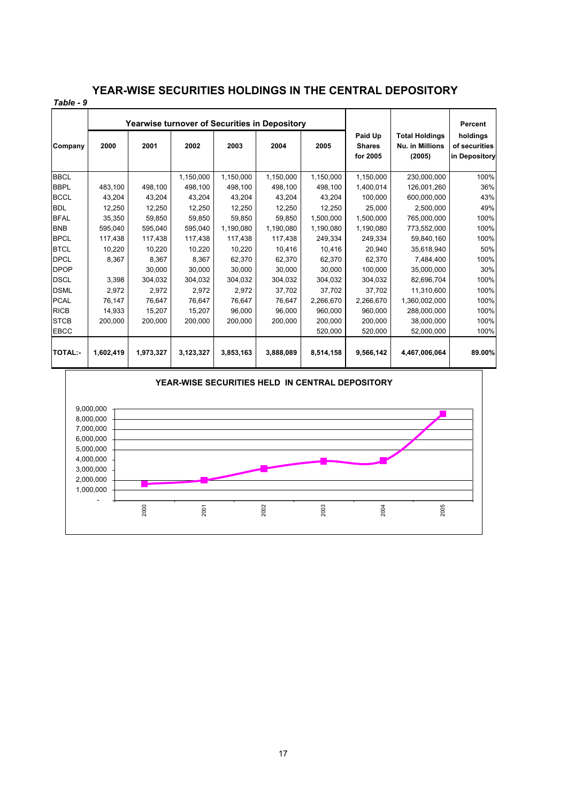### **YEAR-WISE SECURITIES HOLDINGS IN THE CENTRAL DEPOSITORY**

| Table - 9      |           |                                               |           |           |           |           |                                      |                                                    |                                            |
|----------------|-----------|-----------------------------------------------|-----------|-----------|-----------|-----------|--------------------------------------|----------------------------------------------------|--------------------------------------------|
|                |           | Yearwise turnover of Securities in Depository |           |           |           | Percent   |                                      |                                                    |                                            |
| Company        | 2000      | 2001                                          | 2002      | 2003      | 2004      | 2005      | Paid Up<br><b>Shares</b><br>for 2005 | <b>Total Holdings</b><br>Nu. in Millions<br>(2005) | holdings<br>of securities<br>in Depository |
| <b>BBCL</b>    |           |                                               | 1,150,000 | 1,150,000 | 1,150,000 | 1,150,000 | 1,150,000                            | 230,000,000                                        | 100%                                       |
| <b>BBPL</b>    | 483,100   | 498,100                                       | 498,100   | 498,100   | 498,100   | 498,100   | 1,400,014                            | 126,001,260                                        | 36%                                        |
| <b>BCCL</b>    | 43,204    | 43,204                                        | 43,204    | 43,204    | 43,204    | 43,204    | 100,000                              | 600,000,000                                        | 43%                                        |
| <b>BDL</b>     | 12,250    | 12,250                                        | 12,250    | 12,250    | 12,250    | 12,250    | 25,000                               | 2,500,000                                          | 49%                                        |
| <b>BFAL</b>    | 35,350    | 59.850                                        | 59,850    | 59,850    | 59,850    | 1,500,000 | 1,500,000                            | 765,000,000                                        | 100%                                       |
| <b>BNB</b>     | 595,040   | 595,040                                       | 595,040   | 1,190,080 | 1,190,080 | 1,190,080 | 1,190,080                            | 773,552,000                                        | 100%                                       |
| <b>BPCL</b>    | 117,438   | 117,438                                       | 117,438   | 117,438   | 117,438   | 249,334   | 249,334                              | 59,840,160                                         | 100%                                       |
| <b>BTCL</b>    | 10,220    | 10,220                                        | 10,220    | 10,220    | 10,416    | 10,416    | 20,940                               | 35,618,940                                         | 50%                                        |
| <b>DPCL</b>    | 8,367     | 8,367                                         | 8,367     | 62,370    | 62,370    | 62,370    | 62,370                               | 7,484,400                                          | 100%                                       |
| <b>DPOP</b>    |           | 30.000                                        | 30.000    | 30.000    | 30.000    | 30.000    | 100,000                              | 35,000,000                                         | 30%                                        |
| <b>DSCL</b>    | 3,398     | 304,032                                       | 304,032   | 304,032   | 304,032   | 304,032   | 304,032                              | 82,696,704                                         | 100%                                       |
| <b>DSML</b>    | 2,972     | 2,972                                         | 2,972     | 2,972     | 37,702    | 37,702    | 37,702                               | 11,310,600                                         | 100%                                       |
| <b>PCAL</b>    | 76,147    | 76,647                                        | 76.647    | 76.647    | 76.647    | 2,266,670 | 2,266,670                            | 1,360,002,000                                      | 100%                                       |
| <b>RICB</b>    | 14,933    | 15,207                                        | 15,207    | 96.000    | 96.000    | 960.000   | 960.000                              | 288,000,000                                        | 100%                                       |
| <b>STCB</b>    | 200,000   | 200,000                                       | 200,000   | 200,000   | 200,000   | 200,000   | 200,000                              | 38,000,000                                         | 100%                                       |
| EBCC           |           |                                               |           |           |           | 520,000   | 520,000                              | 52,000,000                                         | 100%                                       |
| <b>TOTAL:-</b> | 1,602,419 | 1,973,327                                     | 3,123,327 | 3,853,163 | 3,888,089 | 8,514,158 | 9,566,142                            | 4,467,006,064                                      | 89.00%                                     |

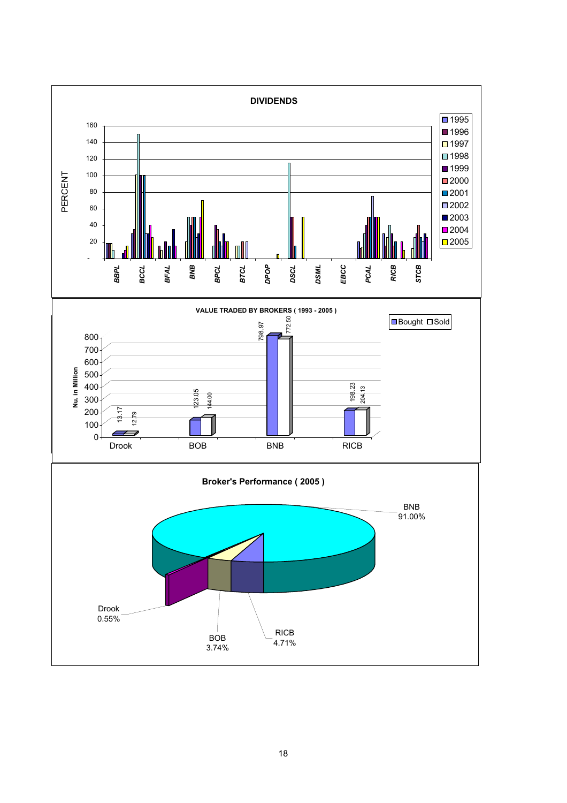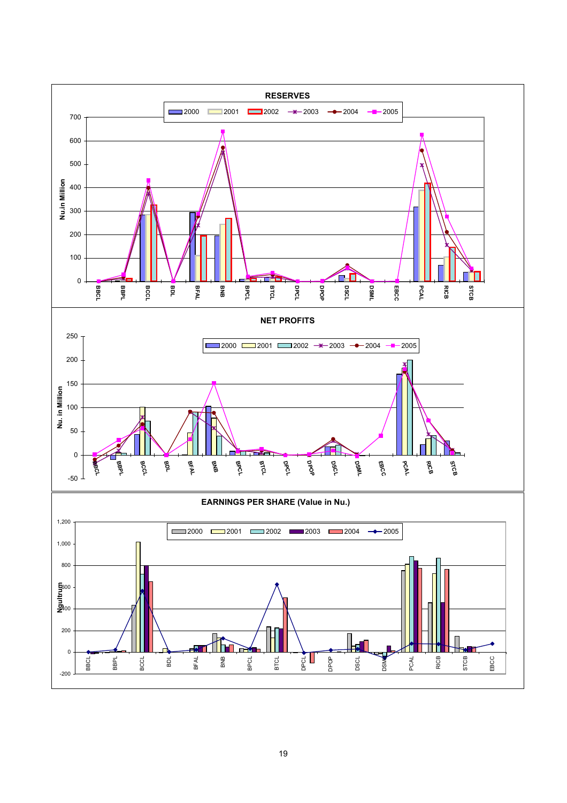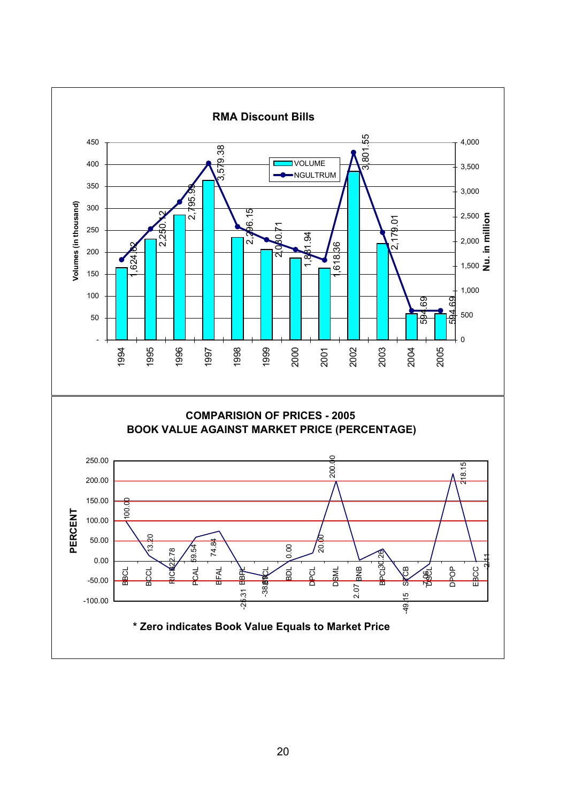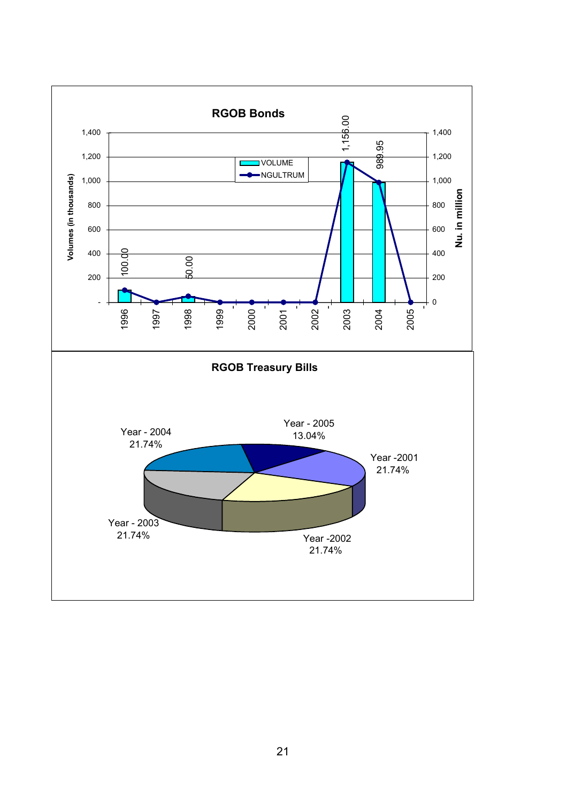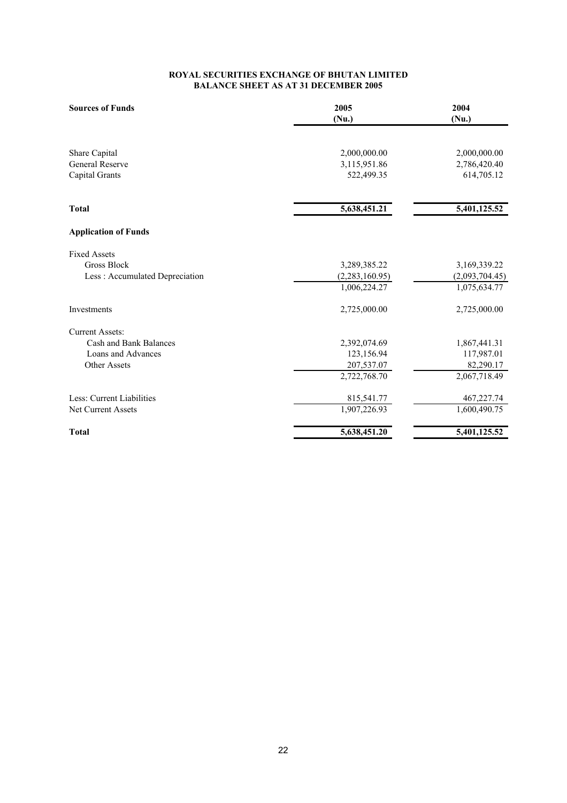#### **BALANCE SHEET AS AT 31 DECEMBER 2005 ROYAL SECURITIES EXCHANGE OF BHUTAN LIMITED**

| <b>Sources of Funds</b>        | 2005<br>(Nu.)  | 2004<br>(Nu.)  |
|--------------------------------|----------------|----------------|
| Share Capital                  | 2,000,000.00   | 2,000,000.00   |
| <b>General Reserve</b>         | 3,115,951.86   | 2,786,420.40   |
| Capital Grants                 | 522,499.35     | 614,705.12     |
| <b>Total</b>                   | 5,638,451.21   | 5,401,125.52   |
| <b>Application of Funds</b>    |                |                |
| <b>Fixed Assets</b>            |                |                |
| <b>Gross Block</b>             | 3,289,385.22   | 3,169,339.22   |
| Less: Accumulated Depreciation | (2,283,160.95) | (2,093,704.45) |
|                                | 1,006,224.27   | 1,075,634.77   |
| Investments                    | 2,725,000.00   | 2,725,000.00   |
| <b>Current Assets:</b>         |                |                |
| Cash and Bank Balances         | 2,392,074.69   | 1,867,441.31   |
| Loans and Advances             | 123,156.94     | 117,987.01     |
| <b>Other Assets</b>            | 207,537.07     | 82,290.17      |
|                                | 2,722,768.70   | 2,067,718.49   |
| Less: Current Liabilities      | 815,541.77     | 467, 227. 74   |
| Net Current Assets             | 1,907,226.93   | 1,600,490.75   |
| <b>Total</b>                   | 5,638,451.20   | 5,401,125.52   |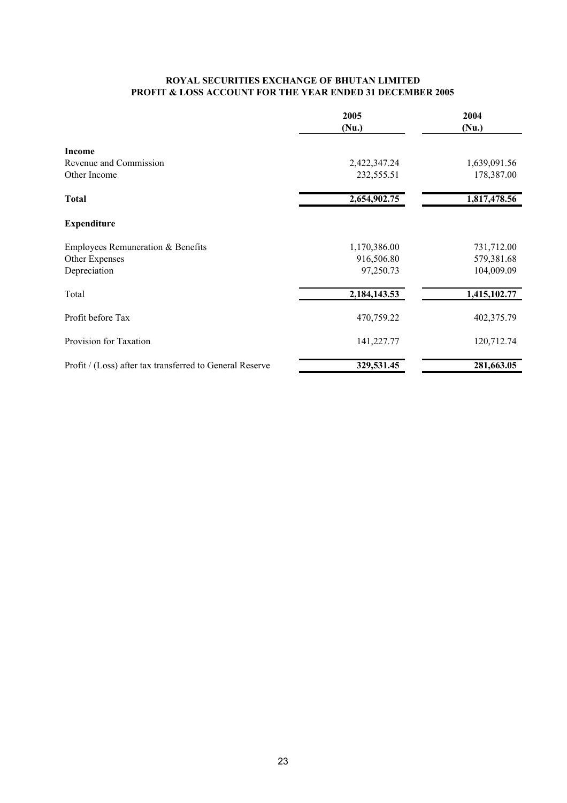#### **ROYAL SECURITIES EXCHANGE OF BHUTAN LIMITED PROFIT & LOSS ACCOUNT FOR THE YEAR ENDED 31 DECEMBER 2005**

|                                                          | 2005<br>(Nu.) | 2004<br>(Nu.) |
|----------------------------------------------------------|---------------|---------------|
| <b>Income</b>                                            |               |               |
| Revenue and Commission                                   | 2,422,347.24  | 1,639,091.56  |
| Other Income                                             | 232,555.51    | 178,387.00    |
| <b>Total</b>                                             | 2,654,902.75  | 1,817,478.56  |
| <b>Expenditure</b>                                       |               |               |
| Employees Remuneration & Benefits                        | 1,170,386.00  | 731,712.00    |
| Other Expenses                                           | 916,506.80    | 579,381.68    |
| Depreciation                                             | 97,250.73     | 104,009.09    |
| Total                                                    | 2,184,143.53  | 1,415,102.77  |
| Profit before Tax                                        | 470,759.22    | 402,375.79    |
| Provision for Taxation                                   | 141,227.77    | 120,712.74    |
| Profit / (Loss) after tax transferred to General Reserve | 329,531.45    | 281,663.05    |